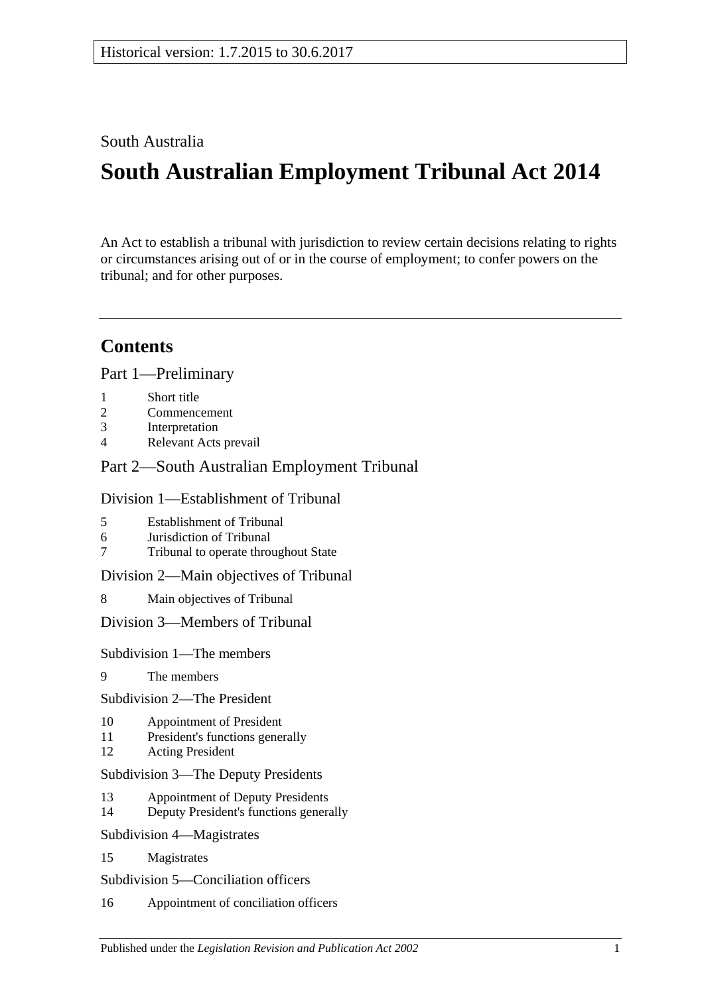South Australia

# **South Australian Employment Tribunal Act 2014**

An Act to establish a tribunal with jurisdiction to review certain decisions relating to rights or circumstances arising out of or in the course of employment; to confer powers on the tribunal; and for other purposes.

## **Contents**

Part [1—Preliminary](#page-3-0)

- 1 [Short title](#page-3-1)
- 2 [Commencement](#page-3-2)
- 3 [Interpretation](#page-3-3)
- 4 [Relevant Acts prevail](#page-5-0)

## Part [2—South Australian Employment Tribunal](#page-5-1)

#### Division [1—Establishment of Tribunal](#page-5-2)

- 5 [Establishment of Tribunal](#page-5-3)
- 6 [Jurisdiction of Tribunal](#page-5-4)
- 7 [Tribunal to operate throughout State](#page-5-5)

Division [2—Main objectives of Tribunal](#page-5-6)

8 [Main objectives of Tribunal](#page-5-7)

Division [3—Members of Tribunal](#page-6-0)

Subdivision [1—The members](#page-6-1)

9 [The members](#page-6-2)

Subdivision [2—The President](#page-6-3)

- 10 [Appointment of President](#page-6-4)
- 11 [President's functions generally](#page-6-5)
- 12 [Acting President](#page-7-0)

Subdivision [3—The Deputy Presidents](#page-7-1)

- 13 [Appointment of Deputy Presidents](#page-7-2)
- 14 [Deputy President's functions generally](#page-8-0)
- Subdivision [4—Magistrates](#page-8-1)
- 15 [Magistrates](#page-8-2)

Subdivision [5—Conciliation officers](#page-9-0)

16 [Appointment of conciliation officers](#page-9-1)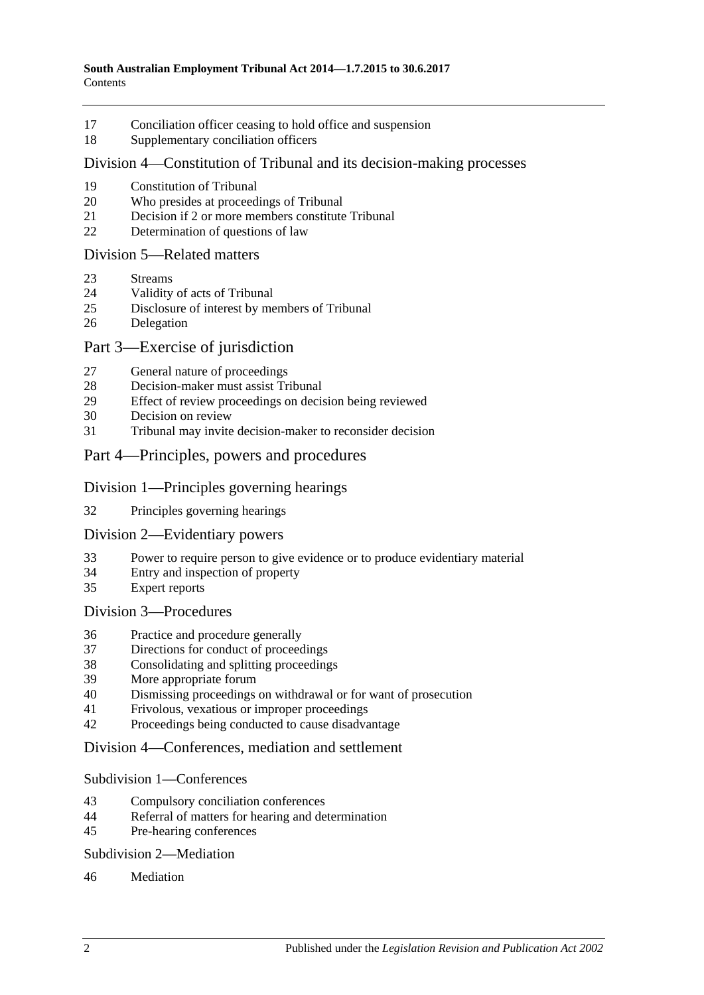- [Conciliation officer ceasing to hold office and suspension](#page-10-0)
- [Supplementary conciliation officers](#page-11-0)

#### Division [4—Constitution of Tribunal and its decision-making processes](#page-11-1)

- [Constitution of Tribunal](#page-11-2)
- [Who presides at proceedings of Tribunal](#page-12-0)
- [Decision if 2 or more members constitute Tribunal](#page-12-1)
- [Determination of questions of law](#page-13-0)

#### Division [5—Related matters](#page-13-1)

- [Streams](#page-13-2)
- [Validity of acts of Tribunal](#page-13-3)
- [Disclosure of interest by members of Tribunal](#page-13-4)
- [Delegation](#page-14-0)

#### Part [3—Exercise of jurisdiction](#page-14-1)

- [General nature of proceedings](#page-14-2)
- [Decision-maker must assist Tribunal](#page-14-3)
- [Effect of review proceedings on decision being reviewed](#page-15-0)
- [Decision on review](#page-16-0)
- [Tribunal may invite decision-maker to reconsider decision](#page-16-1)
- Part [4—Principles, powers and procedures](#page-17-0)

#### Division [1—Principles governing hearings](#page-17-1)

[Principles governing hearings](#page-17-2)

#### Division [2—Evidentiary powers](#page-17-3)

- [Power to require person to give evidence or to produce evidentiary material](#page-17-4)
- [Entry and inspection of property](#page-18-0)
- [Expert reports](#page-18-1)

#### Division [3—Procedures](#page-19-0)

- [Practice and procedure generally](#page-19-1)
- [Directions for conduct of proceedings](#page-19-2)
- [Consolidating and splitting proceedings](#page-20-0)
- [More appropriate forum](#page-20-1)<br>40 Dismissing proceedings
- [Dismissing proceedings on withdrawal or for want of prosecution](#page-20-2)
- [Frivolous, vexatious or improper proceedings](#page-20-3)
- [Proceedings being conducted to cause disadvantage](#page-21-0)

#### Division [4—Conferences, mediation and settlement](#page-22-0)

#### Subdivision [1—Conferences](#page-22-1)

- [Compulsory conciliation conferences](#page-22-2)
- [Referral of matters for hearing and determination](#page-23-0)
- [Pre-hearing conferences](#page-24-0)

#### Subdivision [2—Mediation](#page-24-1)

#### [Mediation](#page-24-2)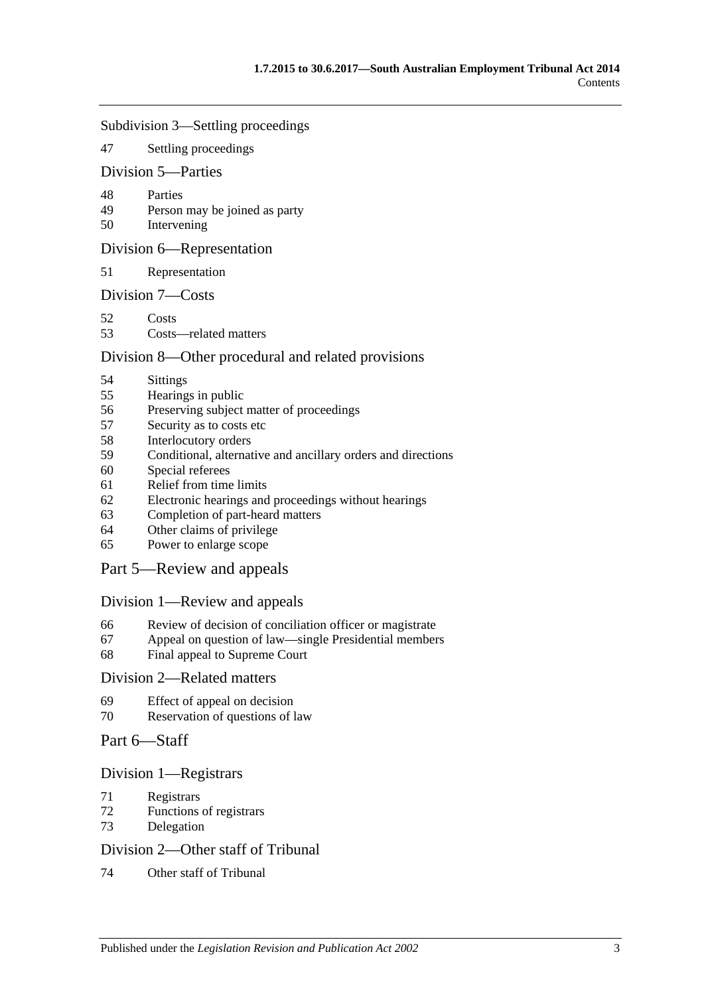#### Subdivision [3—Settling proceedings](#page-25-0)

[Settling proceedings](#page-25-1)

#### Division [5—Parties](#page-25-2)

- [Parties](#page-25-3)
- [Person may be joined as party](#page-26-0)
- [Intervening](#page-26-1)

#### Division [6—Representation](#page-26-2)

[Representation](#page-26-3)

#### Division [7—Costs](#page-26-4)

- [Costs](#page-26-5)
- [Costs—related matters](#page-27-0)

#### Division [8—Other procedural and related provisions](#page-28-0)

- [Sittings](#page-28-1)
- [Hearings in public](#page-28-2)<br>56 Preserving subject
- [Preserving subject matter of proceedings](#page-28-3)
- [Security as to costs etc](#page-29-0)
- [Interlocutory orders](#page-29-1)
- [Conditional, alternative and ancillary orders and directions](#page-30-0)
- [Special referees](#page-30-1)
- [Relief from time limits](#page-30-2)
- [Electronic hearings and proceedings without hearings](#page-30-3)
- [Completion of part-heard matters](#page-30-4)
- [Other claims of privilege](#page-31-0)
- [Power to enlarge scope](#page-31-1)

#### Part [5—Review and appeals](#page-31-2)

#### Division [1—Review and appeals](#page-31-3)

- [Review of decision of conciliation officer or magistrate](#page-31-4)
- [Appeal on question of law—single Presidential members](#page-31-5)
- [Final appeal to Supreme Court](#page-32-0)

#### Division [2—Related matters](#page-32-1)

- [Effect of appeal on decision](#page-32-2)
- [Reservation of questions of law](#page-32-3)

#### Part [6—Staff](#page-33-0)

#### Division [1—Registrars](#page-33-1)

- [Registrars](#page-33-2)
- [Functions of registrars](#page-33-3)
- [Delegation](#page-34-0)

#### Division [2—Other staff of Tribunal](#page-34-1)

[Other staff of Tribunal](#page-34-2)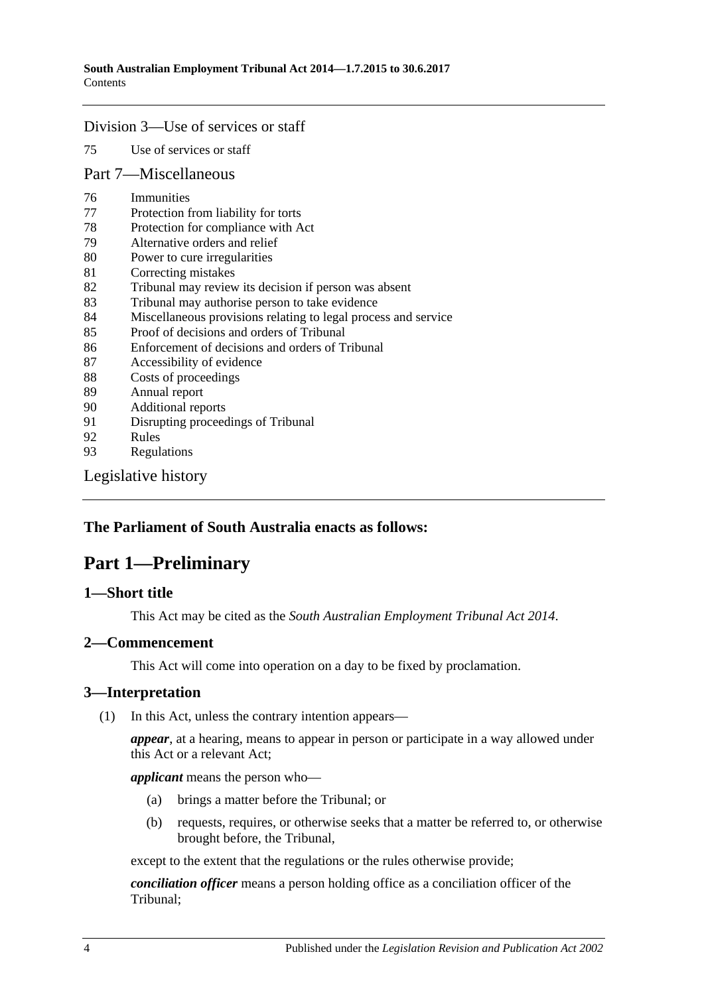#### Division [3—Use of services or staff](#page-34-3)

75 [Use of services or staff](#page-34-4)

#### Part [7—Miscellaneous](#page-34-5)

- 76 [Immunities](#page-34-6)
- 77 [Protection from liability for torts](#page-35-0)
- 78 [Protection for compliance with Act](#page-35-1)
- 79 [Alternative orders and relief](#page-35-2)
- 80 [Power to cure irregularities](#page-35-3)
- 81 [Correcting mistakes](#page-36-0)
- 82 [Tribunal may review its decision if person was absent](#page-36-1)
- 83 [Tribunal may authorise person to take evidence](#page-37-0)
- 84 [Miscellaneous provisions relating to legal process and service](#page-37-1)
- 85 [Proof of decisions and orders of Tribunal](#page-37-2)
- 86 [Enforcement of decisions and orders of Tribunal](#page-37-3)
- 87 [Accessibility of evidence](#page-38-0)
- 88 [Costs of proceedings](#page-38-1)
- 89 [Annual report](#page-39-0)
- 90 [Additional reports](#page-39-1)
- 91 [Disrupting proceedings of Tribunal](#page-39-2)<br>92 Rules
- **[Rules](#page-39-3)**
- 93 [Regulations](#page-40-0)

[Legislative history](#page-42-0)

### <span id="page-3-0"></span>**The Parliament of South Australia enacts as follows:**

## **Part 1—Preliminary**

#### <span id="page-3-1"></span>**1—Short title**

This Act may be cited as the *South Australian Employment Tribunal Act 2014*.

### <span id="page-3-2"></span>**2—Commencement**

This Act will come into operation on a day to be fixed by proclamation.

#### <span id="page-3-3"></span>**3—Interpretation**

(1) In this Act, unless the contrary intention appears—

*appear*, at a hearing, means to appear in person or participate in a way allowed under this Act or a relevant Act;

*applicant* means the person who—

- (a) brings a matter before the Tribunal; or
- (b) requests, requires, or otherwise seeks that a matter be referred to, or otherwise brought before, the Tribunal,

except to the extent that the regulations or the rules otherwise provide;

*conciliation officer* means a person holding office as a conciliation officer of the Tribunal;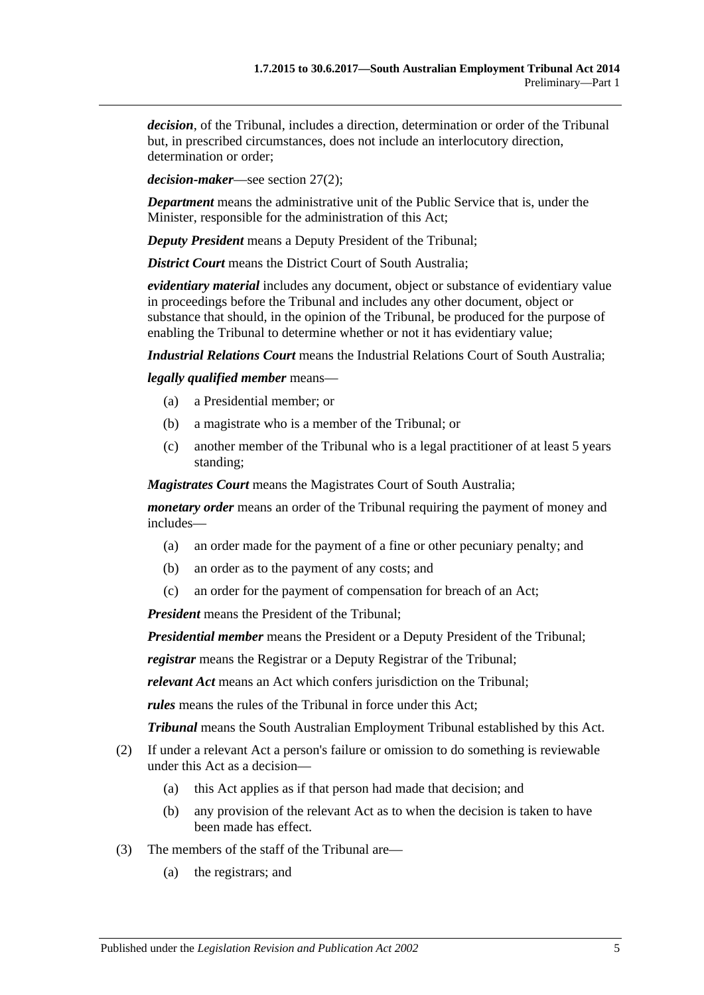*decision*, of the Tribunal, includes a direction, determination or order of the Tribunal but, in prescribed circumstances, does not include an interlocutory direction, determination or order;

*decision-maker*—see [section](#page-14-4) 27(2);

*Department* means the administrative unit of the Public Service that is, under the Minister, responsible for the administration of this Act;

*Deputy President* means a Deputy President of the Tribunal;

*District Court* means the District Court of South Australia:

*evidentiary material* includes any document, object or substance of evidentiary value in proceedings before the Tribunal and includes any other document, object or substance that should, in the opinion of the Tribunal, be produced for the purpose of enabling the Tribunal to determine whether or not it has evidentiary value;

*Industrial Relations Court* means the Industrial Relations Court of South Australia;

*legally qualified member* means—

- (a) a Presidential member; or
- (b) a magistrate who is a member of the Tribunal; or
- (c) another member of the Tribunal who is a legal practitioner of at least 5 years standing;

*Magistrates Court* means the Magistrates Court of South Australia;

*monetary order* means an order of the Tribunal requiring the payment of money and includes—

- (a) an order made for the payment of a fine or other pecuniary penalty; and
- (b) an order as to the payment of any costs; and
- (c) an order for the payment of compensation for breach of an Act;

*President* means the President of the Tribunal;

*Presidential member* means the President or a Deputy President of the Tribunal;

*registrar* means the Registrar or a Deputy Registrar of the Tribunal;

*relevant Act* means an Act which confers jurisdiction on the Tribunal;

*rules* means the rules of the Tribunal in force under this Act;

*Tribunal* means the South Australian Employment Tribunal established by this Act.

- (2) If under a relevant Act a person's failure or omission to do something is reviewable under this Act as a decision—
	- (a) this Act applies as if that person had made that decision; and
	- (b) any provision of the relevant Act as to when the decision is taken to have been made has effect.
- (3) The members of the staff of the Tribunal are—
	- (a) the registrars; and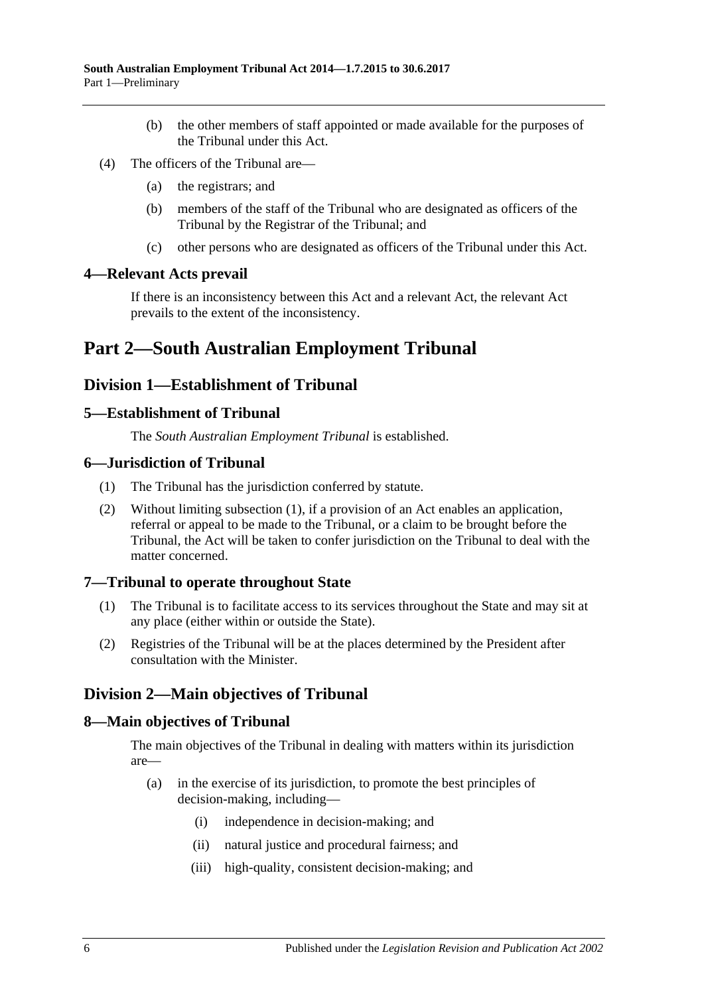- (b) the other members of staff appointed or made available for the purposes of the Tribunal under this Act.
- (4) The officers of the Tribunal are—
	- (a) the registrars; and
	- (b) members of the staff of the Tribunal who are designated as officers of the Tribunal by the Registrar of the Tribunal; and
	- (c) other persons who are designated as officers of the Tribunal under this Act.

#### <span id="page-5-0"></span>**4—Relevant Acts prevail**

If there is an inconsistency between this Act and a relevant Act, the relevant Act prevails to the extent of the inconsistency.

## <span id="page-5-1"></span>**Part 2—South Australian Employment Tribunal**

## <span id="page-5-2"></span>**Division 1—Establishment of Tribunal**

#### <span id="page-5-3"></span>**5—Establishment of Tribunal**

The *South Australian Employment Tribunal* is established.

#### <span id="page-5-8"></span><span id="page-5-4"></span>**6—Jurisdiction of Tribunal**

- (1) The Tribunal has the jurisdiction conferred by statute.
- (2) Without limiting [subsection](#page-5-8) (1), if a provision of an Act enables an application, referral or appeal to be made to the Tribunal, or a claim to be brought before the Tribunal, the Act will be taken to confer jurisdiction on the Tribunal to deal with the matter concerned.

#### <span id="page-5-5"></span>**7—Tribunal to operate throughout State**

- (1) The Tribunal is to facilitate access to its services throughout the State and may sit at any place (either within or outside the State).
- (2) Registries of the Tribunal will be at the places determined by the President after consultation with the Minister.

## <span id="page-5-6"></span>**Division 2—Main objectives of Tribunal**

#### <span id="page-5-7"></span>**8—Main objectives of Tribunal**

The main objectives of the Tribunal in dealing with matters within its jurisdiction are—

- (a) in the exercise of its jurisdiction, to promote the best principles of decision-making, including—
	- (i) independence in decision-making; and
	- (ii) natural justice and procedural fairness; and
	- (iii) high-quality, consistent decision-making; and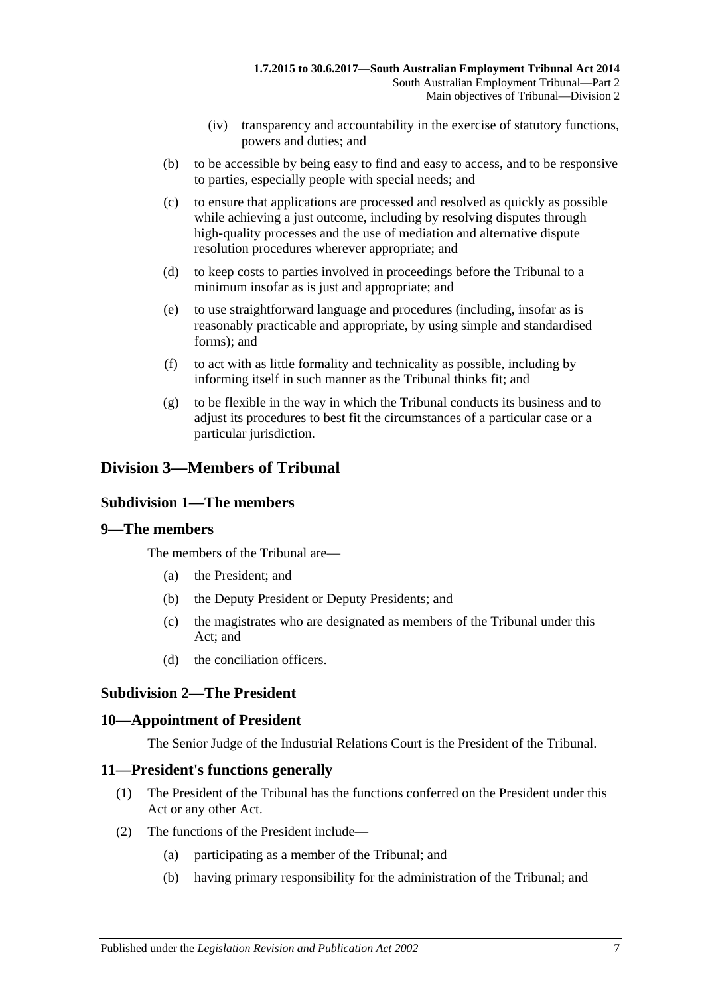- (iv) transparency and accountability in the exercise of statutory functions, powers and duties; and
- (b) to be accessible by being easy to find and easy to access, and to be responsive to parties, especially people with special needs; and
- (c) to ensure that applications are processed and resolved as quickly as possible while achieving a just outcome, including by resolving disputes through high-quality processes and the use of mediation and alternative dispute resolution procedures wherever appropriate; and
- (d) to keep costs to parties involved in proceedings before the Tribunal to a minimum insofar as is just and appropriate; and
- (e) to use straightforward language and procedures (including, insofar as is reasonably practicable and appropriate, by using simple and standardised forms); and
- (f) to act with as little formality and technicality as possible, including by informing itself in such manner as the Tribunal thinks fit; and
- (g) to be flexible in the way in which the Tribunal conducts its business and to adjust its procedures to best fit the circumstances of a particular case or a particular jurisdiction.

## <span id="page-6-1"></span><span id="page-6-0"></span>**Division 3—Members of Tribunal**

#### **Subdivision 1—The members**

#### <span id="page-6-2"></span>**9—The members**

The members of the Tribunal are—

- (a) the President; and
- (b) the Deputy President or Deputy Presidents; and
- (c) the magistrates who are designated as members of the Tribunal under this Act; and
- (d) the conciliation officers.

## <span id="page-6-3"></span>**Subdivision 2—The President**

#### <span id="page-6-4"></span>**10—Appointment of President**

The Senior Judge of the Industrial Relations Court is the President of the Tribunal.

#### <span id="page-6-5"></span>**11—President's functions generally**

- (1) The President of the Tribunal has the functions conferred on the President under this Act or any other Act.
- (2) The functions of the President include—
	- (a) participating as a member of the Tribunal; and
	- (b) having primary responsibility for the administration of the Tribunal; and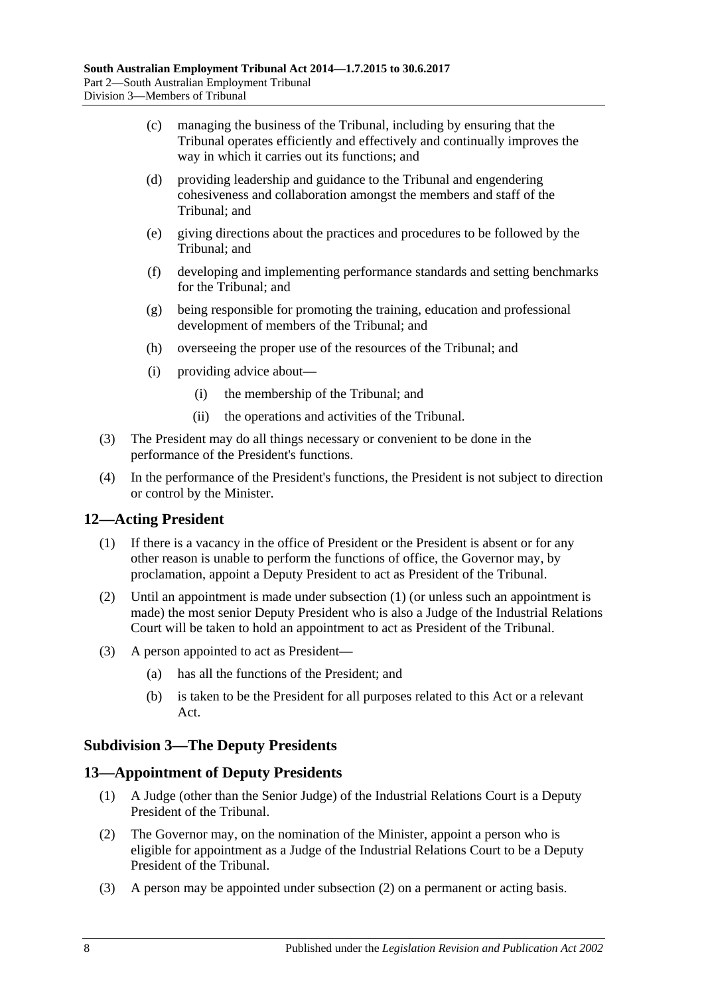- (c) managing the business of the Tribunal, including by ensuring that the Tribunal operates efficiently and effectively and continually improves the way in which it carries out its functions; and
- (d) providing leadership and guidance to the Tribunal and engendering cohesiveness and collaboration amongst the members and staff of the Tribunal; and
- (e) giving directions about the practices and procedures to be followed by the Tribunal; and
- (f) developing and implementing performance standards and setting benchmarks for the Tribunal; and
- (g) being responsible for promoting the training, education and professional development of members of the Tribunal; and
- (h) overseeing the proper use of the resources of the Tribunal; and
- (i) providing advice about—
	- (i) the membership of the Tribunal; and
	- (ii) the operations and activities of the Tribunal.
- (3) The President may do all things necessary or convenient to be done in the performance of the President's functions.
- (4) In the performance of the President's functions, the President is not subject to direction or control by the Minister.

## <span id="page-7-3"></span><span id="page-7-0"></span>**12—Acting President**

- (1) If there is a vacancy in the office of President or the President is absent or for any other reason is unable to perform the functions of office, the Governor may, by proclamation, appoint a Deputy President to act as President of the Tribunal.
- (2) Until an appointment is made under [subsection](#page-7-3) (1) (or unless such an appointment is made) the most senior Deputy President who is also a Judge of the Industrial Relations Court will be taken to hold an appointment to act as President of the Tribunal.
- (3) A person appointed to act as President—
	- (a) has all the functions of the President; and
	- (b) is taken to be the President for all purposes related to this Act or a relevant Act.

#### <span id="page-7-1"></span>**Subdivision 3—The Deputy Presidents**

## <span id="page-7-2"></span>**13—Appointment of Deputy Presidents**

- (1) A Judge (other than the Senior Judge) of the Industrial Relations Court is a Deputy President of the Tribunal.
- <span id="page-7-4"></span>(2) The Governor may, on the nomination of the Minister, appoint a person who is eligible for appointment as a Judge of the Industrial Relations Court to be a Deputy President of the Tribunal.
- (3) A person may be appointed under [subsection](#page-7-4) (2) on a permanent or acting basis.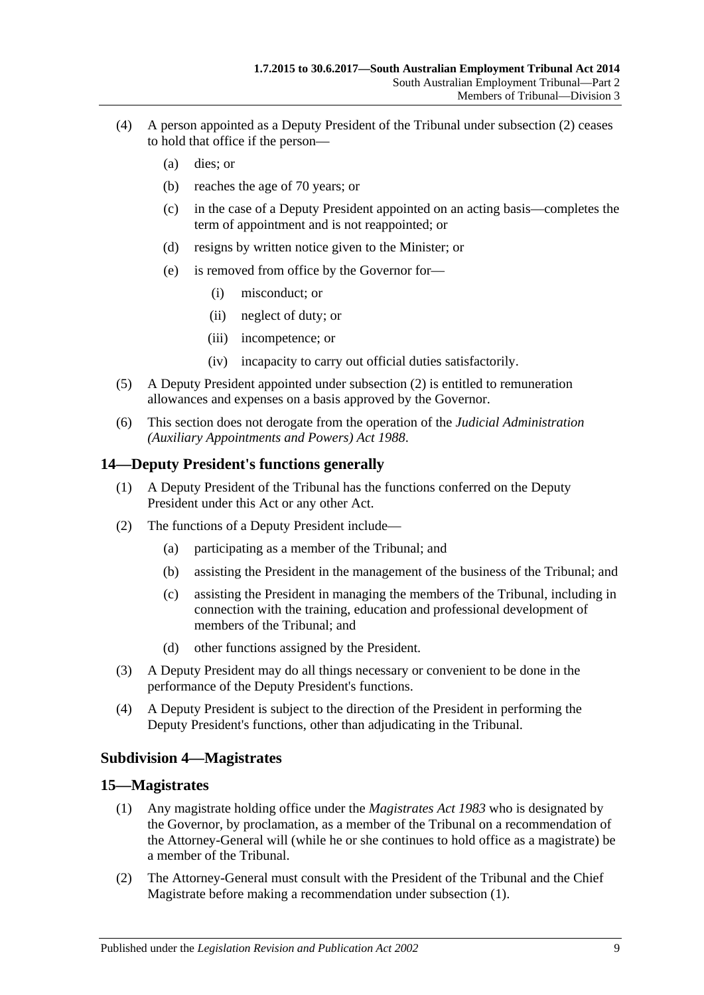- (4) A person appointed as a Deputy President of the Tribunal under [subsection](#page-7-4) (2) ceases to hold that office if the person—
	- (a) dies; or
	- (b) reaches the age of 70 years; or
	- (c) in the case of a Deputy President appointed on an acting basis—completes the term of appointment and is not reappointed; or
	- (d) resigns by written notice given to the Minister; or
	- (e) is removed from office by the Governor for—
		- (i) misconduct; or
		- (ii) neglect of duty; or
		- (iii) incompetence; or
		- (iv) incapacity to carry out official duties satisfactorily.
- (5) A Deputy President appointed under [subsection](#page-7-4) (2) is entitled to remuneration allowances and expenses on a basis approved by the Governor.
- (6) This section does not derogate from the operation of the *[Judicial Administration](http://www.legislation.sa.gov.au/index.aspx?action=legref&type=act&legtitle=Judicial%20Administration%20(Auxiliary%20Appointments%20and%20Powers)%20Act%201988)  [\(Auxiliary Appointments and Powers\) Act](http://www.legislation.sa.gov.au/index.aspx?action=legref&type=act&legtitle=Judicial%20Administration%20(Auxiliary%20Appointments%20and%20Powers)%20Act%201988) 1988*.

#### <span id="page-8-0"></span>**14—Deputy President's functions generally**

- (1) A Deputy President of the Tribunal has the functions conferred on the Deputy President under this Act or any other Act.
- (2) The functions of a Deputy President include—
	- (a) participating as a member of the Tribunal; and
	- (b) assisting the President in the management of the business of the Tribunal; and
	- (c) assisting the President in managing the members of the Tribunal, including in connection with the training, education and professional development of members of the Tribunal; and
	- (d) other functions assigned by the President.
- (3) A Deputy President may do all things necessary or convenient to be done in the performance of the Deputy President's functions.
- (4) A Deputy President is subject to the direction of the President in performing the Deputy President's functions, other than adjudicating in the Tribunal.

#### <span id="page-8-1"></span>**Subdivision 4—Magistrates**

#### <span id="page-8-3"></span><span id="page-8-2"></span>**15—Magistrates**

- (1) Any magistrate holding office under the *[Magistrates Act](http://www.legislation.sa.gov.au/index.aspx?action=legref&type=act&legtitle=Magistrates%20Act%201983) 1983* who is designated by the Governor, by proclamation, as a member of the Tribunal on a recommendation of the Attorney-General will (while he or she continues to hold office as a magistrate) be a member of the Tribunal.
- (2) The Attorney-General must consult with the President of the Tribunal and the Chief Magistrate before making a recommendation under [subsection](#page-8-3) (1).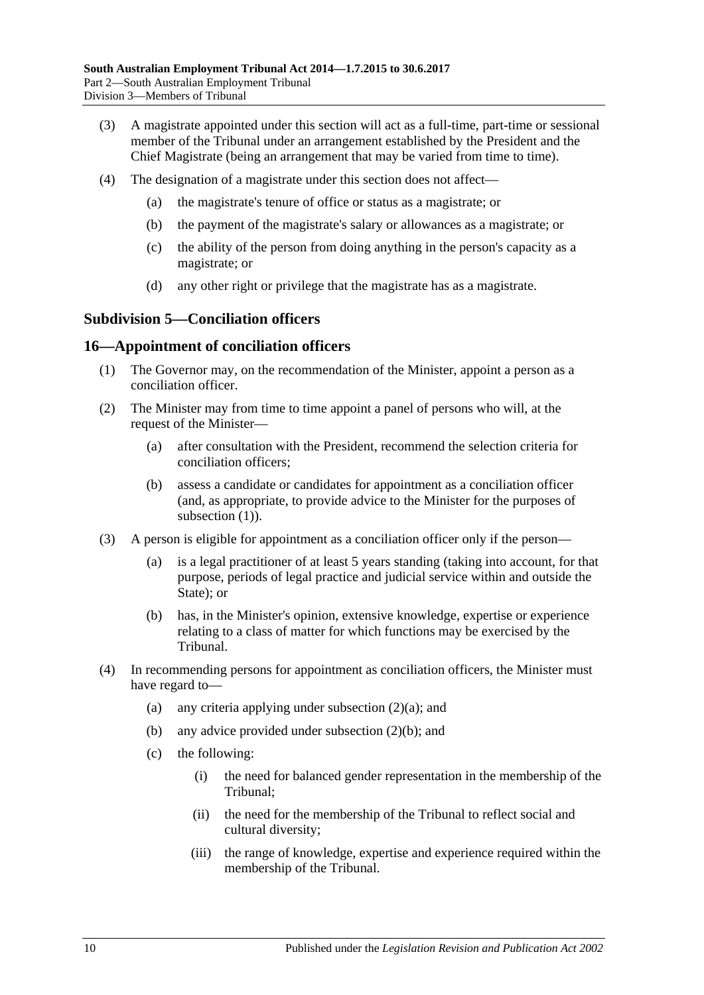- (3) A magistrate appointed under this section will act as a full-time, part-time or sessional member of the Tribunal under an arrangement established by the President and the Chief Magistrate (being an arrangement that may be varied from time to time).
- (4) The designation of a magistrate under this section does not affect—
	- (a) the magistrate's tenure of office or status as a magistrate; or
	- (b) the payment of the magistrate's salary or allowances as a magistrate; or
	- (c) the ability of the person from doing anything in the person's capacity as a magistrate; or
	- (d) any other right or privilege that the magistrate has as a magistrate.

## <span id="page-9-0"></span>**Subdivision 5—Conciliation officers**

#### <span id="page-9-2"></span><span id="page-9-1"></span>**16—Appointment of conciliation officers**

- (1) The Governor may, on the recommendation of the Minister, appoint a person as a conciliation officer.
- <span id="page-9-5"></span><span id="page-9-3"></span>(2) The Minister may from time to time appoint a panel of persons who will, at the request of the Minister—
	- (a) after consultation with the President, recommend the selection criteria for conciliation officers;
	- (b) assess a candidate or candidates for appointment as a conciliation officer (and, as appropriate, to provide advice to the Minister for the purposes of [subsection](#page-9-2) (1)).
- <span id="page-9-4"></span>(3) A person is eligible for appointment as a conciliation officer only if the person—
	- (a) is a legal practitioner of at least 5 years standing (taking into account, for that purpose, periods of legal practice and judicial service within and outside the State); or
	- (b) has, in the Minister's opinion, extensive knowledge, expertise or experience relating to a class of matter for which functions may be exercised by the Tribunal.
- (4) In recommending persons for appointment as conciliation officers, the Minister must have regard to
	- (a) any criteria applying under [subsection](#page-9-3)  $(2)(a)$ ; and
	- (b) any advice provided under [subsection](#page-9-4) (2)(b); and
	- (c) the following:
		- (i) the need for balanced gender representation in the membership of the Tribunal;
		- (ii) the need for the membership of the Tribunal to reflect social and cultural diversity;
		- (iii) the range of knowledge, expertise and experience required within the membership of the Tribunal.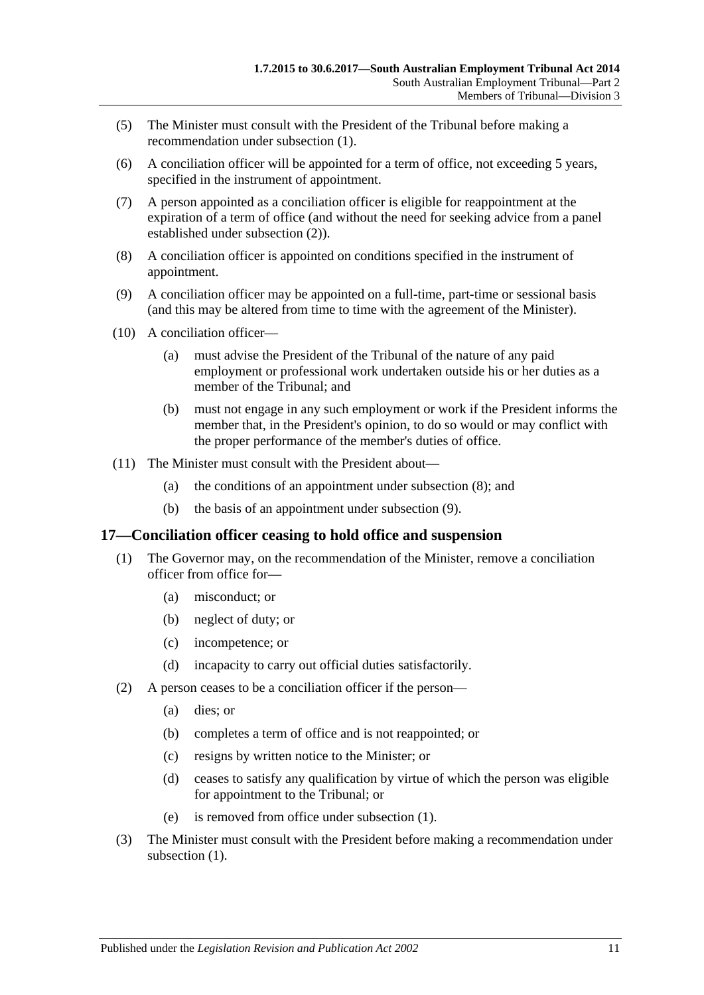- (5) The Minister must consult with the President of the Tribunal before making a recommendation under [subsection](#page-9-2) (1).
- (6) A conciliation officer will be appointed for a term of office, not exceeding 5 years, specified in the instrument of appointment.
- (7) A person appointed as a conciliation officer is eligible for reappointment at the expiration of a term of office (and without the need for seeking advice from a panel established under [subsection](#page-9-5) (2)).
- <span id="page-10-1"></span>(8) A conciliation officer is appointed on conditions specified in the instrument of appointment.
- <span id="page-10-2"></span>(9) A conciliation officer may be appointed on a full-time, part-time or sessional basis (and this may be altered from time to time with the agreement of the Minister).
- (10) A conciliation officer—
	- (a) must advise the President of the Tribunal of the nature of any paid employment or professional work undertaken outside his or her duties as a member of the Tribunal; and
	- (b) must not engage in any such employment or work if the President informs the member that, in the President's opinion, to do so would or may conflict with the proper performance of the member's duties of office.
- (11) The Minister must consult with the President about—
	- (a) the conditions of an appointment under [subsection](#page-10-1) (8); and
	- (b) the basis of an appointment under [subsection](#page-10-2) (9).

#### <span id="page-10-3"></span><span id="page-10-0"></span>**17—Conciliation officer ceasing to hold office and suspension**

- (1) The Governor may, on the recommendation of the Minister, remove a conciliation officer from office for—
	- (a) misconduct; or
	- (b) neglect of duty; or
	- (c) incompetence; or
	- (d) incapacity to carry out official duties satisfactorily.
- (2) A person ceases to be a conciliation officer if the person—
	- (a) dies; or
	- (b) completes a term of office and is not reappointed; or
	- (c) resigns by written notice to the Minister; or
	- (d) ceases to satisfy any qualification by virtue of which the person was eligible for appointment to the Tribunal; or
	- (e) is removed from office under [subsection](#page-10-3) (1).
- (3) The Minister must consult with the President before making a recommendation under [subsection](#page-10-3)  $(1)$ .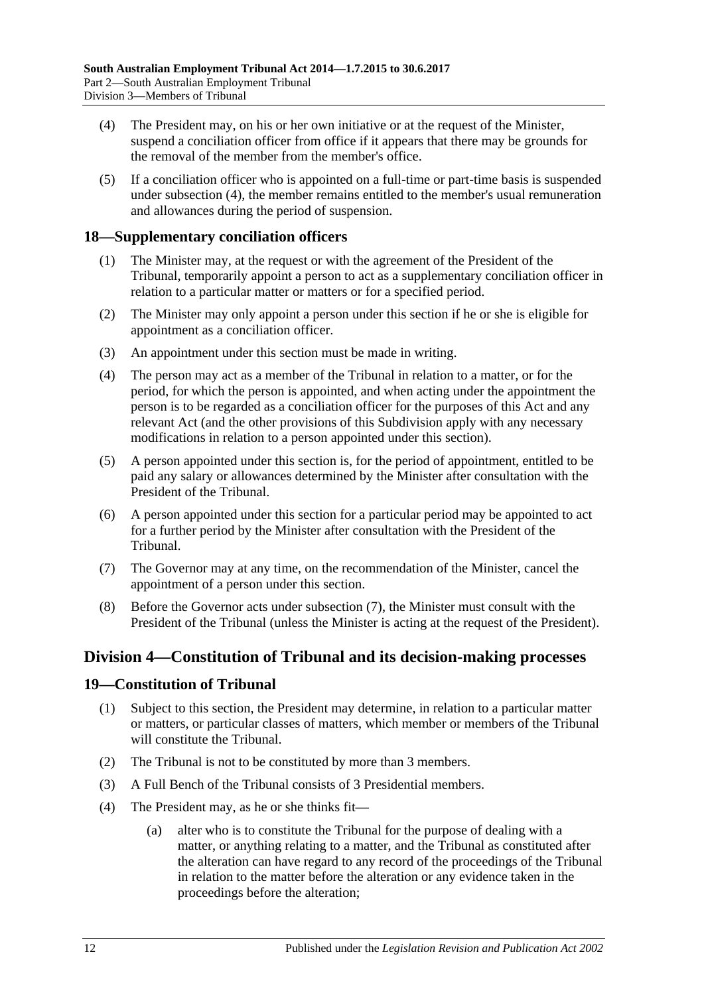- <span id="page-11-3"></span>(4) The President may, on his or her own initiative or at the request of the Minister, suspend a conciliation officer from office if it appears that there may be grounds for the removal of the member from the member's office.
- (5) If a conciliation officer who is appointed on a full-time or part-time basis is suspended under [subsection](#page-11-3) (4), the member remains entitled to the member's usual remuneration and allowances during the period of suspension.

## <span id="page-11-0"></span>**18—Supplementary conciliation officers**

- (1) The Minister may, at the request or with the agreement of the President of the Tribunal, temporarily appoint a person to act as a supplementary conciliation officer in relation to a particular matter or matters or for a specified period.
- (2) The Minister may only appoint a person under this section if he or she is eligible for appointment as a conciliation officer.
- (3) An appointment under this section must be made in writing.
- (4) The person may act as a member of the Tribunal in relation to a matter, or for the period, for which the person is appointed, and when acting under the appointment the person is to be regarded as a conciliation officer for the purposes of this Act and any relevant Act (and the other provisions of this Subdivision apply with any necessary modifications in relation to a person appointed under this section).
- (5) A person appointed under this section is, for the period of appointment, entitled to be paid any salary or allowances determined by the Minister after consultation with the President of the Tribunal.
- (6) A person appointed under this section for a particular period may be appointed to act for a further period by the Minister after consultation with the President of the Tribunal.
- <span id="page-11-4"></span>(7) The Governor may at any time, on the recommendation of the Minister, cancel the appointment of a person under this section.
- (8) Before the Governor acts under [subsection](#page-11-4) (7), the Minister must consult with the President of the Tribunal (unless the Minister is acting at the request of the President).

#### <span id="page-11-1"></span>**Division 4—Constitution of Tribunal and its decision-making processes**

#### <span id="page-11-2"></span>**19—Constitution of Tribunal**

- (1) Subject to this section, the President may determine, in relation to a particular matter or matters, or particular classes of matters, which member or members of the Tribunal will constitute the Tribunal.
- (2) The Tribunal is not to be constituted by more than 3 members.
- (3) A Full Bench of the Tribunal consists of 3 Presidential members.
- (4) The President may, as he or she thinks fit—
	- (a) alter who is to constitute the Tribunal for the purpose of dealing with a matter, or anything relating to a matter, and the Tribunal as constituted after the alteration can have regard to any record of the proceedings of the Tribunal in relation to the matter before the alteration or any evidence taken in the proceedings before the alteration;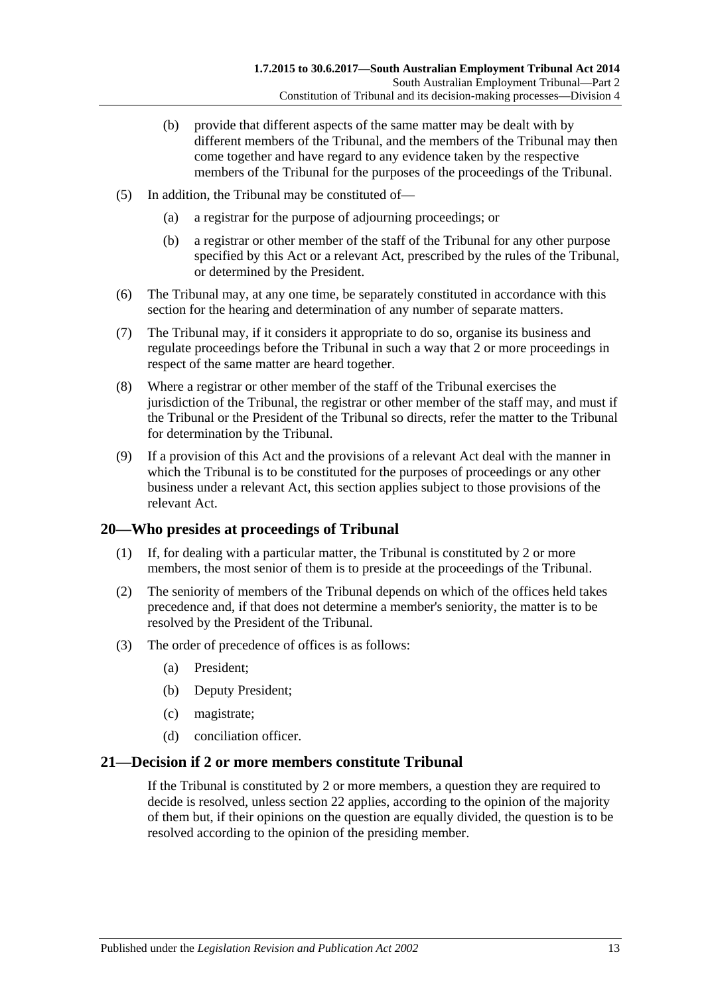- (b) provide that different aspects of the same matter may be dealt with by different members of the Tribunal, and the members of the Tribunal may then come together and have regard to any evidence taken by the respective members of the Tribunal for the purposes of the proceedings of the Tribunal.
- (5) In addition, the Tribunal may be constituted of—
	- (a) a registrar for the purpose of adjourning proceedings; or
	- (b) a registrar or other member of the staff of the Tribunal for any other purpose specified by this Act or a relevant Act, prescribed by the rules of the Tribunal, or determined by the President.
- (6) The Tribunal may, at any one time, be separately constituted in accordance with this section for the hearing and determination of any number of separate matters.
- (7) The Tribunal may, if it considers it appropriate to do so, organise its business and regulate proceedings before the Tribunal in such a way that 2 or more proceedings in respect of the same matter are heard together.
- (8) Where a registrar or other member of the staff of the Tribunal exercises the jurisdiction of the Tribunal, the registrar or other member of the staff may, and must if the Tribunal or the President of the Tribunal so directs, refer the matter to the Tribunal for determination by the Tribunal.
- (9) If a provision of this Act and the provisions of a relevant Act deal with the manner in which the Tribunal is to be constituted for the purposes of proceedings or any other business under a relevant Act, this section applies subject to those provisions of the relevant Act.

#### <span id="page-12-0"></span>**20—Who presides at proceedings of Tribunal**

- (1) If, for dealing with a particular matter, the Tribunal is constituted by 2 or more members, the most senior of them is to preside at the proceedings of the Tribunal.
- (2) The seniority of members of the Tribunal depends on which of the offices held takes precedence and, if that does not determine a member's seniority, the matter is to be resolved by the President of the Tribunal.
- (3) The order of precedence of offices is as follows:
	- (a) President;
	- (b) Deputy President;
	- (c) magistrate;
	- (d) conciliation officer.

#### <span id="page-12-1"></span>**21—Decision if 2 or more members constitute Tribunal**

If the Tribunal is constituted by 2 or more members, a question they are required to decide is resolved, unless [section](#page-13-0) 22 applies, according to the opinion of the majority of them but, if their opinions on the question are equally divided, the question is to be resolved according to the opinion of the presiding member.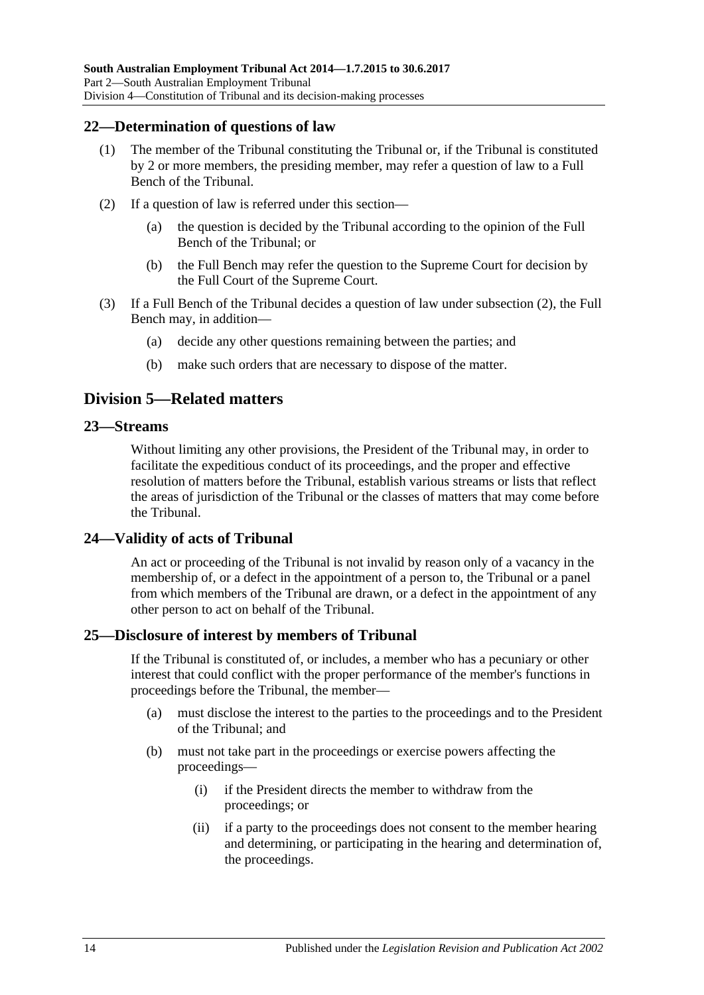#### <span id="page-13-0"></span>**22—Determination of questions of law**

- (1) The member of the Tribunal constituting the Tribunal or, if the Tribunal is constituted by 2 or more members, the presiding member, may refer a question of law to a Full Bench of the Tribunal.
- <span id="page-13-5"></span>(2) If a question of law is referred under this section—
	- (a) the question is decided by the Tribunal according to the opinion of the Full Bench of the Tribunal; or
	- (b) the Full Bench may refer the question to the Supreme Court for decision by the Full Court of the Supreme Court.
- (3) If a Full Bench of the Tribunal decides a question of law under [subsection](#page-13-5) (2), the Full Bench may, in addition—
	- (a) decide any other questions remaining between the parties; and
	- (b) make such orders that are necessary to dispose of the matter.

## <span id="page-13-1"></span>**Division 5—Related matters**

#### <span id="page-13-2"></span>**23—Streams**

Without limiting any other provisions, the President of the Tribunal may, in order to facilitate the expeditious conduct of its proceedings, and the proper and effective resolution of matters before the Tribunal, establish various streams or lists that reflect the areas of jurisdiction of the Tribunal or the classes of matters that may come before the Tribunal.

#### <span id="page-13-3"></span>**24—Validity of acts of Tribunal**

An act or proceeding of the Tribunal is not invalid by reason only of a vacancy in the membership of, or a defect in the appointment of a person to, the Tribunal or a panel from which members of the Tribunal are drawn, or a defect in the appointment of any other person to act on behalf of the Tribunal.

#### <span id="page-13-4"></span>**25—Disclosure of interest by members of Tribunal**

If the Tribunal is constituted of, or includes, a member who has a pecuniary or other interest that could conflict with the proper performance of the member's functions in proceedings before the Tribunal, the member—

- (a) must disclose the interest to the parties to the proceedings and to the President of the Tribunal; and
- (b) must not take part in the proceedings or exercise powers affecting the proceedings—
	- (i) if the President directs the member to withdraw from the proceedings; or
	- (ii) if a party to the proceedings does not consent to the member hearing and determining, or participating in the hearing and determination of, the proceedings.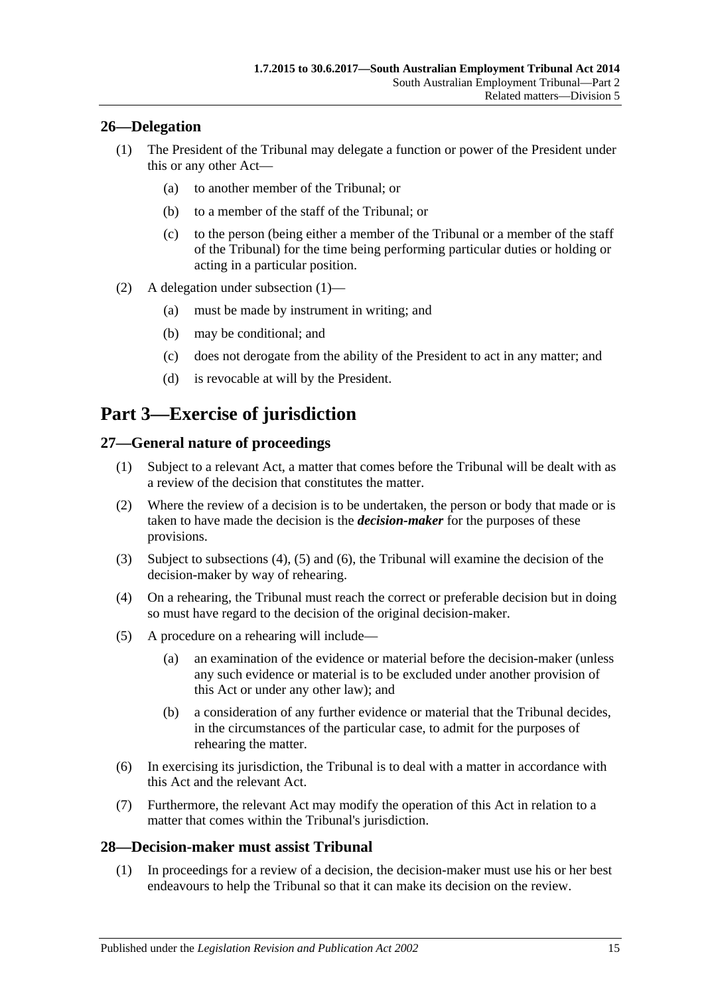## <span id="page-14-5"></span><span id="page-14-0"></span>**26—Delegation**

- (1) The President of the Tribunal may delegate a function or power of the President under this or any other Act—
	- (a) to another member of the Tribunal; or
	- (b) to a member of the staff of the Tribunal; or
	- (c) to the person (being either a member of the Tribunal or a member of the staff of the Tribunal) for the time being performing particular duties or holding or acting in a particular position.
- (2) A delegation under [subsection](#page-14-5) (1)—
	- (a) must be made by instrument in writing; and
	- (b) may be conditional; and
	- (c) does not derogate from the ability of the President to act in any matter; and
	- (d) is revocable at will by the President.

## <span id="page-14-1"></span>**Part 3—Exercise of jurisdiction**

## <span id="page-14-2"></span>**27—General nature of proceedings**

- (1) Subject to a relevant Act, a matter that comes before the Tribunal will be dealt with as a review of the decision that constitutes the matter.
- <span id="page-14-4"></span>(2) Where the review of a decision is to be undertaken, the person or body that made or is taken to have made the decision is the *decision-maker* for the purposes of these provisions.
- (3) Subject to [subsections \(4\),](#page-14-6) [\(5\)](#page-14-7) and [\(6\),](#page-14-8) the Tribunal will examine the decision of the decision-maker by way of rehearing.
- <span id="page-14-6"></span>(4) On a rehearing, the Tribunal must reach the correct or preferable decision but in doing so must have regard to the decision of the original decision-maker.
- <span id="page-14-7"></span>(5) A procedure on a rehearing will include—
	- (a) an examination of the evidence or material before the decision-maker (unless any such evidence or material is to be excluded under another provision of this Act or under any other law); and
	- (b) a consideration of any further evidence or material that the Tribunal decides, in the circumstances of the particular case, to admit for the purposes of rehearing the matter.
- <span id="page-14-8"></span>(6) In exercising its jurisdiction, the Tribunal is to deal with a matter in accordance with this Act and the relevant Act.
- (7) Furthermore, the relevant Act may modify the operation of this Act in relation to a matter that comes within the Tribunal's jurisdiction.

#### <span id="page-14-9"></span><span id="page-14-3"></span>**28—Decision-maker must assist Tribunal**

(1) In proceedings for a review of a decision, the decision-maker must use his or her best endeavours to help the Tribunal so that it can make its decision on the review.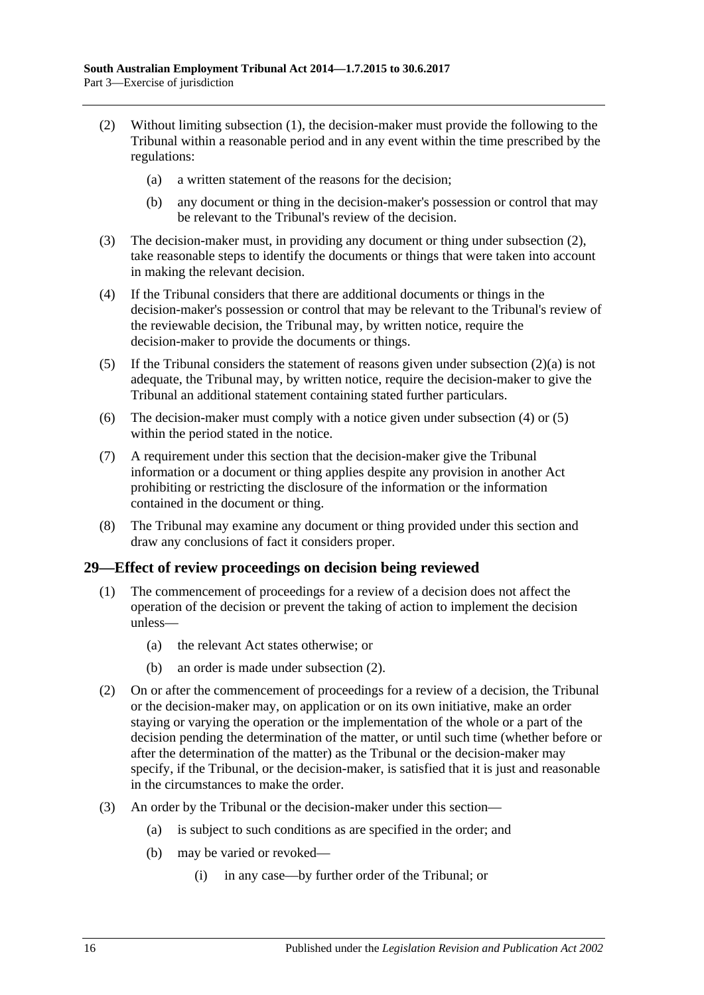- <span id="page-15-2"></span><span id="page-15-1"></span>(2) Without limiting [subsection](#page-14-9) (1), the decision-maker must provide the following to the Tribunal within a reasonable period and in any event within the time prescribed by the regulations:
	- (a) a written statement of the reasons for the decision;
	- (b) any document or thing in the decision-maker's possession or control that may be relevant to the Tribunal's review of the decision.
- (3) The decision-maker must, in providing any document or thing under [subsection](#page-15-1) (2), take reasonable steps to identify the documents or things that were taken into account in making the relevant decision.
- <span id="page-15-3"></span>(4) If the Tribunal considers that there are additional documents or things in the decision-maker's possession or control that may be relevant to the Tribunal's review of the reviewable decision, the Tribunal may, by written notice, require the decision-maker to provide the documents or things.
- <span id="page-15-4"></span>(5) If the Tribunal considers the statement of reasons given under [subsection](#page-15-2)  $(2)(a)$  is not adequate, the Tribunal may, by written notice, require the decision-maker to give the Tribunal an additional statement containing stated further particulars.
- (6) The decision-maker must comply with a notice given under [subsection](#page-15-3) (4) or [\(5\)](#page-15-4) within the period stated in the notice.
- (7) A requirement under this section that the decision-maker give the Tribunal information or a document or thing applies despite any provision in another Act prohibiting or restricting the disclosure of the information or the information contained in the document or thing.
- (8) The Tribunal may examine any document or thing provided under this section and draw any conclusions of fact it considers proper.

#### <span id="page-15-0"></span>**29—Effect of review proceedings on decision being reviewed**

- (1) The commencement of proceedings for a review of a decision does not affect the operation of the decision or prevent the taking of action to implement the decision unless—
	- (a) the relevant Act states otherwise; or
	- (b) an order is made under [subsection](#page-15-5) (2).
- <span id="page-15-5"></span>(2) On or after the commencement of proceedings for a review of a decision, the Tribunal or the decision-maker may, on application or on its own initiative, make an order staying or varying the operation or the implementation of the whole or a part of the decision pending the determination of the matter, or until such time (whether before or after the determination of the matter) as the Tribunal or the decision-maker may specify, if the Tribunal, or the decision-maker, is satisfied that it is just and reasonable in the circumstances to make the order.
- (3) An order by the Tribunal or the decision-maker under this section—
	- (a) is subject to such conditions as are specified in the order; and
	- (b) may be varied or revoked—
		- (i) in any case—by further order of the Tribunal; or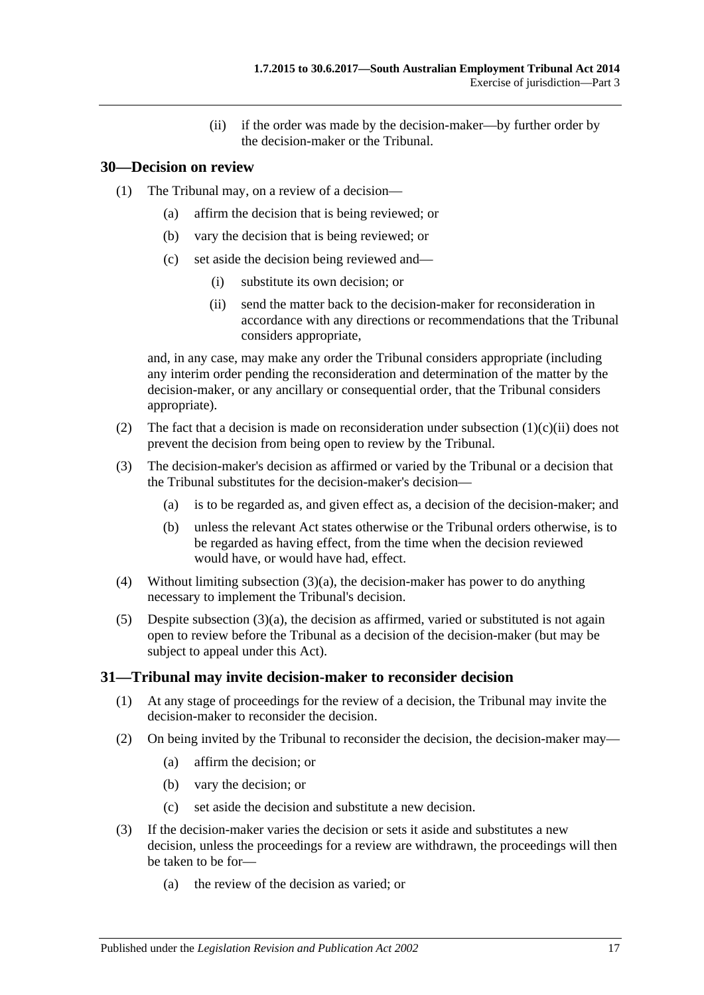(ii) if the order was made by the decision-maker—by further order by the decision-maker or the Tribunal.

### <span id="page-16-0"></span>**30—Decision on review**

- (1) The Tribunal may, on a review of a decision—
	- (a) affirm the decision that is being reviewed; or
	- (b) vary the decision that is being reviewed; or
	- (c) set aside the decision being reviewed and—
		- (i) substitute its own decision; or
		- (ii) send the matter back to the decision-maker for reconsideration in accordance with any directions or recommendations that the Tribunal considers appropriate,

<span id="page-16-2"></span>and, in any case, may make any order the Tribunal considers appropriate (including any interim order pending the reconsideration and determination of the matter by the decision-maker, or any ancillary or consequential order, that the Tribunal considers appropriate).

- (2) The fact that a decision is made on reconsideration under [subsection](#page-16-2)  $(1)(c)(ii)$  does not prevent the decision from being open to review by the Tribunal.
- <span id="page-16-3"></span>(3) The decision-maker's decision as affirmed or varied by the Tribunal or a decision that the Tribunal substitutes for the decision-maker's decision—
	- (a) is to be regarded as, and given effect as, a decision of the decision-maker; and
	- (b) unless the relevant Act states otherwise or the Tribunal orders otherwise, is to be regarded as having effect, from the time when the decision reviewed would have, or would have had, effect.
- (4) Without limiting [subsection](#page-16-3) (3)(a), the decision-maker has power to do anything necessary to implement the Tribunal's decision.
- (5) Despite [subsection](#page-16-3)  $(3)(a)$ , the decision as affirmed, varied or substituted is not again open to review before the Tribunal as a decision of the decision-maker (but may be subject to appeal under this Act).

#### <span id="page-16-1"></span>**31—Tribunal may invite decision-maker to reconsider decision**

- (1) At any stage of proceedings for the review of a decision, the Tribunal may invite the decision-maker to reconsider the decision.
- (2) On being invited by the Tribunal to reconsider the decision, the decision-maker may—
	- (a) affirm the decision; or
	- (b) vary the decision; or
	- (c) set aside the decision and substitute a new decision.
- (3) If the decision-maker varies the decision or sets it aside and substitutes a new decision, unless the proceedings for a review are withdrawn, the proceedings will then be taken to be for—
	- (a) the review of the decision as varied; or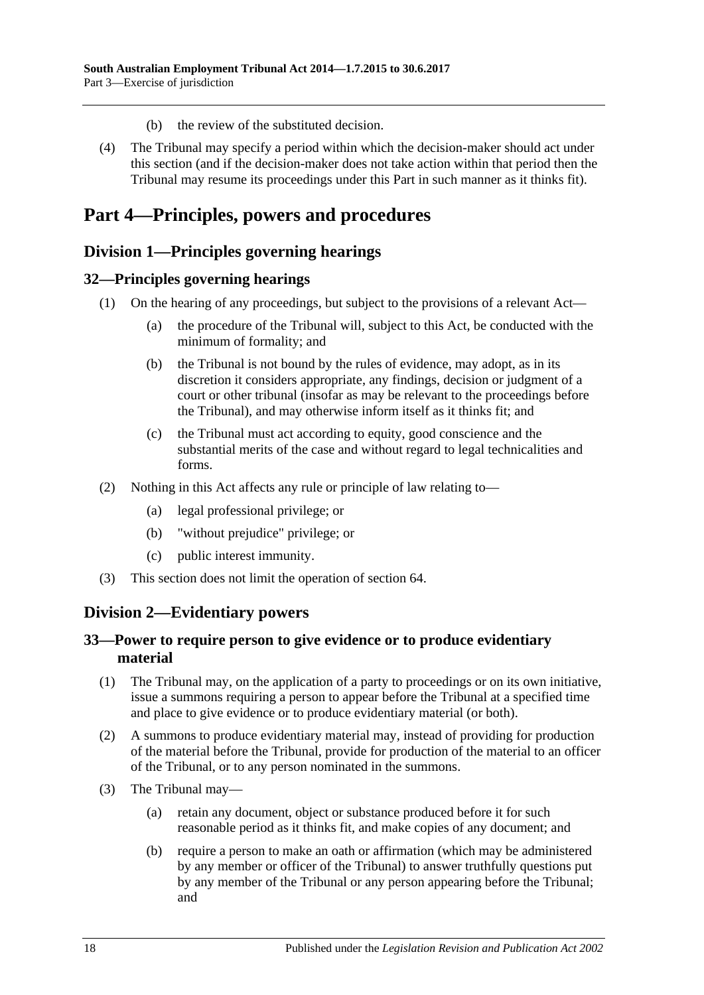- (b) the review of the substituted decision.
- (4) The Tribunal may specify a period within which the decision-maker should act under this section (and if the decision-maker does not take action within that period then the Tribunal may resume its proceedings under this Part in such manner as it thinks fit).

## <span id="page-17-0"></span>**Part 4—Principles, powers and procedures**

## <span id="page-17-1"></span>**Division 1—Principles governing hearings**

#### <span id="page-17-2"></span>**32—Principles governing hearings**

- (1) On the hearing of any proceedings, but subject to the provisions of a relevant Act—
	- (a) the procedure of the Tribunal will, subject to this Act, be conducted with the minimum of formality; and
	- (b) the Tribunal is not bound by the rules of evidence, may adopt, as in its discretion it considers appropriate, any findings, decision or judgment of a court or other tribunal (insofar as may be relevant to the proceedings before the Tribunal), and may otherwise inform itself as it thinks fit; and
	- (c) the Tribunal must act according to equity, good conscience and the substantial merits of the case and without regard to legal technicalities and forms.
- (2) Nothing in this Act affects any rule or principle of law relating to—
	- (a) legal professional privilege; or
	- (b) "without prejudice" privilege; or
	- (c) public interest immunity.
- (3) This section does not limit the operation of [section](#page-31-0) 64.

## <span id="page-17-3"></span>**Division 2—Evidentiary powers**

#### <span id="page-17-4"></span>**33—Power to require person to give evidence or to produce evidentiary material**

- (1) The Tribunal may, on the application of a party to proceedings or on its own initiative, issue a summons requiring a person to appear before the Tribunal at a specified time and place to give evidence or to produce evidentiary material (or both).
- (2) A summons to produce evidentiary material may, instead of providing for production of the material before the Tribunal, provide for production of the material to an officer of the Tribunal, or to any person nominated in the summons.
- (3) The Tribunal may—
	- (a) retain any document, object or substance produced before it for such reasonable period as it thinks fit, and make copies of any document; and
	- (b) require a person to make an oath or affirmation (which may be administered by any member or officer of the Tribunal) to answer truthfully questions put by any member of the Tribunal or any person appearing before the Tribunal; and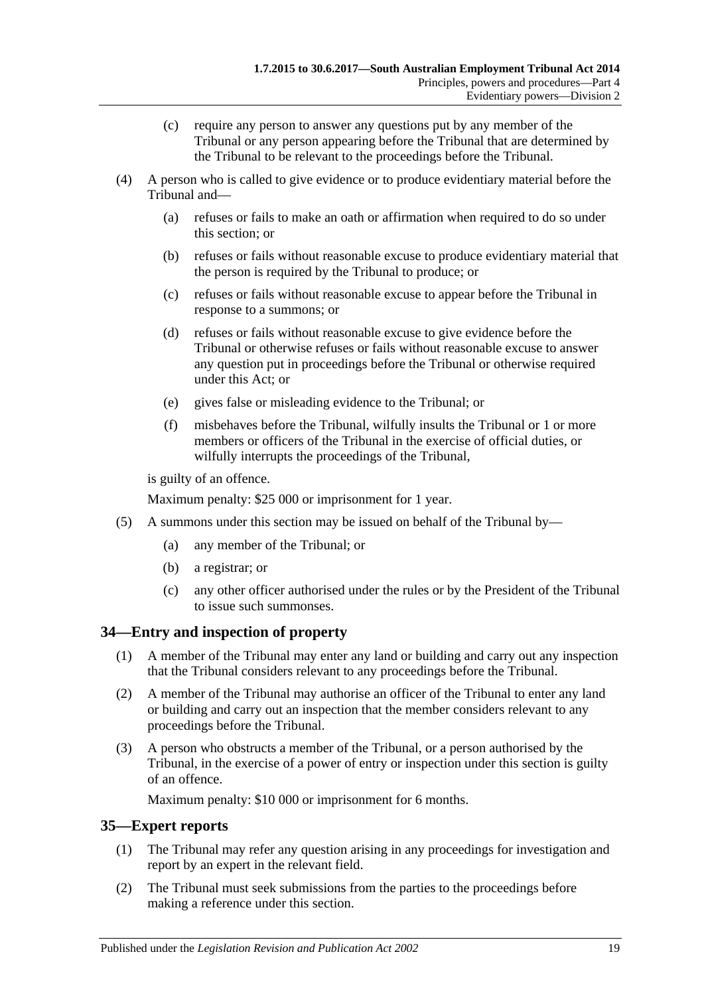- (c) require any person to answer any questions put by any member of the Tribunal or any person appearing before the Tribunal that are determined by the Tribunal to be relevant to the proceedings before the Tribunal.
- (4) A person who is called to give evidence or to produce evidentiary material before the Tribunal and—
	- (a) refuses or fails to make an oath or affirmation when required to do so under this section; or
	- (b) refuses or fails without reasonable excuse to produce evidentiary material that the person is required by the Tribunal to produce; or
	- (c) refuses or fails without reasonable excuse to appear before the Tribunal in response to a summons; or
	- (d) refuses or fails without reasonable excuse to give evidence before the Tribunal or otherwise refuses or fails without reasonable excuse to answer any question put in proceedings before the Tribunal or otherwise required under this Act; or
	- (e) gives false or misleading evidence to the Tribunal; or
	- (f) misbehaves before the Tribunal, wilfully insults the Tribunal or 1 or more members or officers of the Tribunal in the exercise of official duties, or wilfully interrupts the proceedings of the Tribunal,

is guilty of an offence.

Maximum penalty: \$25 000 or imprisonment for 1 year.

- (5) A summons under this section may be issued on behalf of the Tribunal by—
	- (a) any member of the Tribunal; or
	- (b) a registrar; or
	- (c) any other officer authorised under the rules or by the President of the Tribunal to issue such summonses.

#### <span id="page-18-0"></span>**34—Entry and inspection of property**

- (1) A member of the Tribunal may enter any land or building and carry out any inspection that the Tribunal considers relevant to any proceedings before the Tribunal.
- (2) A member of the Tribunal may authorise an officer of the Tribunal to enter any land or building and carry out an inspection that the member considers relevant to any proceedings before the Tribunal.
- (3) A person who obstructs a member of the Tribunal, or a person authorised by the Tribunal, in the exercise of a power of entry or inspection under this section is guilty of an offence.

Maximum penalty: \$10 000 or imprisonment for 6 months.

#### <span id="page-18-1"></span>**35—Expert reports**

- (1) The Tribunal may refer any question arising in any proceedings for investigation and report by an expert in the relevant field.
- (2) The Tribunal must seek submissions from the parties to the proceedings before making a reference under this section.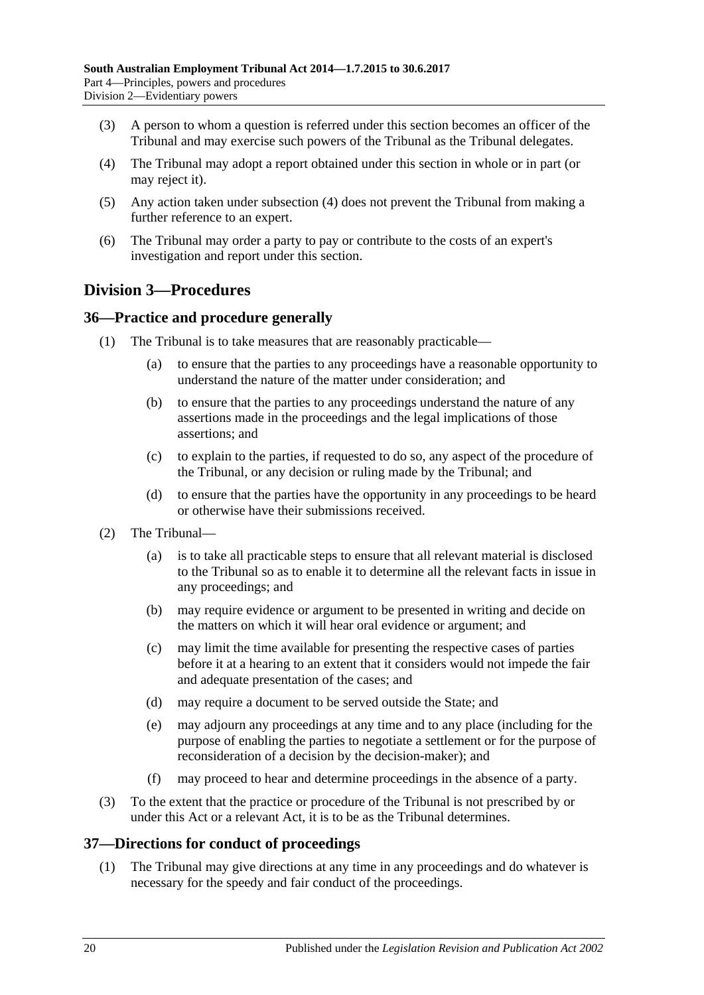- (3) A person to whom a question is referred under this section becomes an officer of the Tribunal and may exercise such powers of the Tribunal as the Tribunal delegates.
- <span id="page-19-3"></span>(4) The Tribunal may adopt a report obtained under this section in whole or in part (or may reject it).
- (5) Any action taken under [subsection](#page-19-3) (4) does not prevent the Tribunal from making a further reference to an expert.
- (6) The Tribunal may order a party to pay or contribute to the costs of an expert's investigation and report under this section.

## <span id="page-19-0"></span>**Division 3—Procedures**

## <span id="page-19-1"></span>**36—Practice and procedure generally**

- (1) The Tribunal is to take measures that are reasonably practicable—
	- (a) to ensure that the parties to any proceedings have a reasonable opportunity to understand the nature of the matter under consideration; and
	- (b) to ensure that the parties to any proceedings understand the nature of any assertions made in the proceedings and the legal implications of those assertions; and
	- (c) to explain to the parties, if requested to do so, any aspect of the procedure of the Tribunal, or any decision or ruling made by the Tribunal; and
	- (d) to ensure that the parties have the opportunity in any proceedings to be heard or otherwise have their submissions received.
- (2) The Tribunal—
	- (a) is to take all practicable steps to ensure that all relevant material is disclosed to the Tribunal so as to enable it to determine all the relevant facts in issue in any proceedings; and
	- (b) may require evidence or argument to be presented in writing and decide on the matters on which it will hear oral evidence or argument; and
	- (c) may limit the time available for presenting the respective cases of parties before it at a hearing to an extent that it considers would not impede the fair and adequate presentation of the cases; and
	- (d) may require a document to be served outside the State; and
	- (e) may adjourn any proceedings at any time and to any place (including for the purpose of enabling the parties to negotiate a settlement or for the purpose of reconsideration of a decision by the decision-maker); and
	- (f) may proceed to hear and determine proceedings in the absence of a party.
- (3) To the extent that the practice or procedure of the Tribunal is not prescribed by or under this Act or a relevant Act, it is to be as the Tribunal determines.

#### <span id="page-19-2"></span>**37—Directions for conduct of proceedings**

(1) The Tribunal may give directions at any time in any proceedings and do whatever is necessary for the speedy and fair conduct of the proceedings.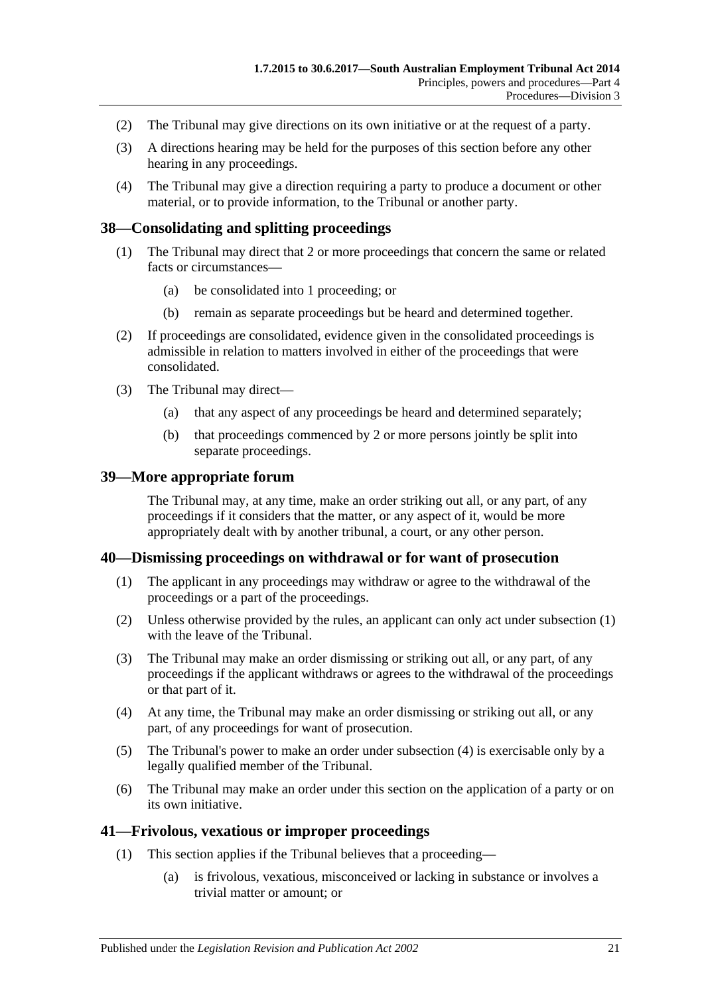- (2) The Tribunal may give directions on its own initiative or at the request of a party.
- (3) A directions hearing may be held for the purposes of this section before any other hearing in any proceedings.
- (4) The Tribunal may give a direction requiring a party to produce a document or other material, or to provide information, to the Tribunal or another party.

#### <span id="page-20-0"></span>**38—Consolidating and splitting proceedings**

- (1) The Tribunal may direct that 2 or more proceedings that concern the same or related facts or circumstances—
	- (a) be consolidated into 1 proceeding; or
	- (b) remain as separate proceedings but be heard and determined together.
- (2) If proceedings are consolidated, evidence given in the consolidated proceedings is admissible in relation to matters involved in either of the proceedings that were consolidated.
- (3) The Tribunal may direct—
	- (a) that any aspect of any proceedings be heard and determined separately;
	- (b) that proceedings commenced by 2 or more persons jointly be split into separate proceedings.

#### <span id="page-20-1"></span>**39—More appropriate forum**

The Tribunal may, at any time, make an order striking out all, or any part, of any proceedings if it considers that the matter, or any aspect of it, would be more appropriately dealt with by another tribunal, a court, or any other person.

#### <span id="page-20-4"></span><span id="page-20-2"></span>**40—Dismissing proceedings on withdrawal or for want of prosecution**

- (1) The applicant in any proceedings may withdraw or agree to the withdrawal of the proceedings or a part of the proceedings.
- (2) Unless otherwise provided by the rules, an applicant can only act under [subsection](#page-20-4) (1) with the leave of the Tribunal.
- (3) The Tribunal may make an order dismissing or striking out all, or any part, of any proceedings if the applicant withdraws or agrees to the withdrawal of the proceedings or that part of it.
- <span id="page-20-5"></span>(4) At any time, the Tribunal may make an order dismissing or striking out all, or any part, of any proceedings for want of prosecution.
- (5) The Tribunal's power to make an order under [subsection](#page-20-5) (4) is exercisable only by a legally qualified member of the Tribunal.
- (6) The Tribunal may make an order under this section on the application of a party or on its own initiative.

#### <span id="page-20-3"></span>**41—Frivolous, vexatious or improper proceedings**

- (1) This section applies if the Tribunal believes that a proceeding—
	- (a) is frivolous, vexatious, misconceived or lacking in substance or involves a trivial matter or amount; or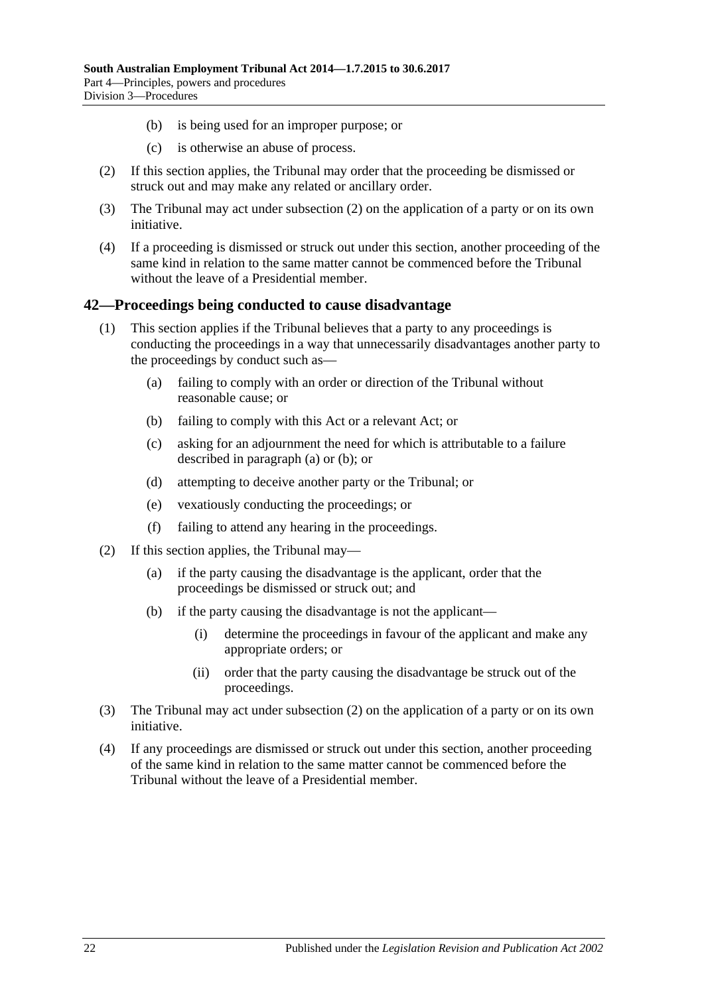- (b) is being used for an improper purpose; or
- (c) is otherwise an abuse of process.
- <span id="page-21-1"></span>(2) If this section applies, the Tribunal may order that the proceeding be dismissed or struck out and may make any related or ancillary order.
- (3) The Tribunal may act under [subsection](#page-21-1) (2) on the application of a party or on its own initiative.
- (4) If a proceeding is dismissed or struck out under this section, another proceeding of the same kind in relation to the same matter cannot be commenced before the Tribunal without the leave of a Presidential member.

#### <span id="page-21-0"></span>**42—Proceedings being conducted to cause disadvantage**

- <span id="page-21-3"></span><span id="page-21-2"></span>(1) This section applies if the Tribunal believes that a party to any proceedings is conducting the proceedings in a way that unnecessarily disadvantages another party to the proceedings by conduct such as—
	- (a) failing to comply with an order or direction of the Tribunal without reasonable cause; or
	- (b) failing to comply with this Act or a relevant Act; or
	- (c) asking for an adjournment the need for which is attributable to a failure described in [paragraph](#page-21-2) (a) or [\(b\);](#page-21-3) or
	- (d) attempting to deceive another party or the Tribunal; or
	- (e) vexatiously conducting the proceedings; or
	- (f) failing to attend any hearing in the proceedings.
- <span id="page-21-4"></span>(2) If this section applies, the Tribunal may—
	- (a) if the party causing the disadvantage is the applicant, order that the proceedings be dismissed or struck out; and
	- (b) if the party causing the disadvantage is not the applicant—
		- (i) determine the proceedings in favour of the applicant and make any appropriate orders; or
		- (ii) order that the party causing the disadvantage be struck out of the proceedings.
- (3) The Tribunal may act under [subsection](#page-21-4) (2) on the application of a party or on its own initiative.
- (4) If any proceedings are dismissed or struck out under this section, another proceeding of the same kind in relation to the same matter cannot be commenced before the Tribunal without the leave of a Presidential member.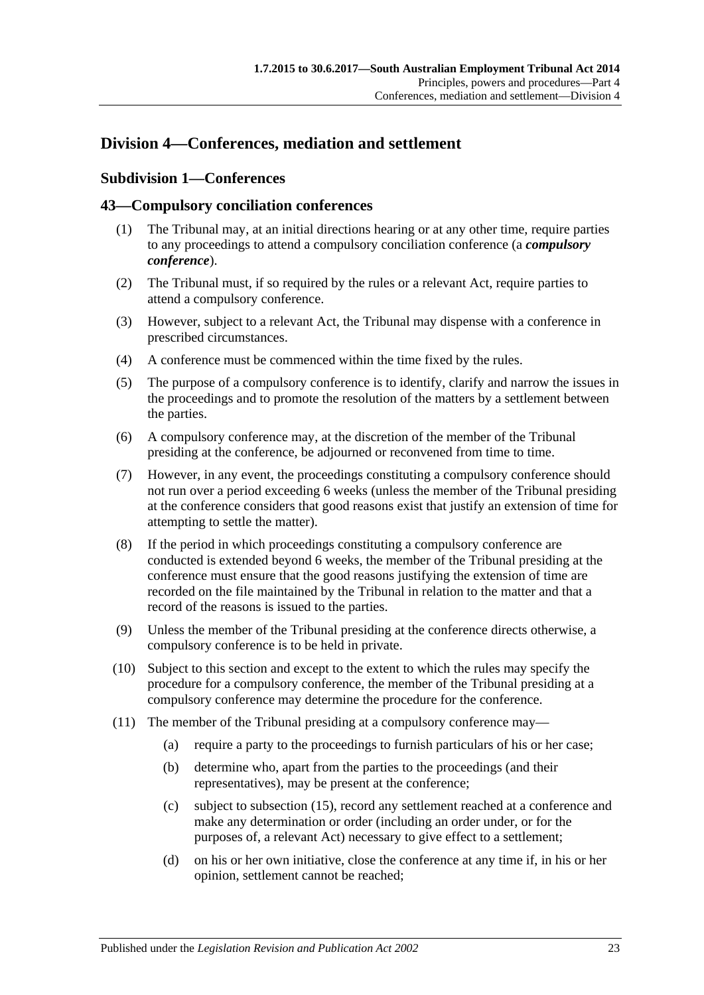## <span id="page-22-1"></span><span id="page-22-0"></span>**Division 4—Conferences, mediation and settlement**

## **Subdivision 1—Conferences**

#### <span id="page-22-2"></span>**43—Compulsory conciliation conferences**

- (1) The Tribunal may, at an initial directions hearing or at any other time, require parties to any proceedings to attend a compulsory conciliation conference (a *compulsory conference*).
- (2) The Tribunal must, if so required by the rules or a relevant Act, require parties to attend a compulsory conference.
- (3) However, subject to a relevant Act, the Tribunal may dispense with a conference in prescribed circumstances.
- (4) A conference must be commenced within the time fixed by the rules.
- (5) The purpose of a compulsory conference is to identify, clarify and narrow the issues in the proceedings and to promote the resolution of the matters by a settlement between the parties.
- (6) A compulsory conference may, at the discretion of the member of the Tribunal presiding at the conference, be adjourned or reconvened from time to time.
- (7) However, in any event, the proceedings constituting a compulsory conference should not run over a period exceeding 6 weeks (unless the member of the Tribunal presiding at the conference considers that good reasons exist that justify an extension of time for attempting to settle the matter).
- (8) If the period in which proceedings constituting a compulsory conference are conducted is extended beyond 6 weeks, the member of the Tribunal presiding at the conference must ensure that the good reasons justifying the extension of time are recorded on the file maintained by the Tribunal in relation to the matter and that a record of the reasons is issued to the parties.
- (9) Unless the member of the Tribunal presiding at the conference directs otherwise, a compulsory conference is to be held in private.
- (10) Subject to this section and except to the extent to which the rules may specify the procedure for a compulsory conference, the member of the Tribunal presiding at a compulsory conference may determine the procedure for the conference.
- (11) The member of the Tribunal presiding at a compulsory conference may—
	- (a) require a party to the proceedings to furnish particulars of his or her case;
	- (b) determine who, apart from the parties to the proceedings (and their representatives), may be present at the conference;
	- (c) subject to [subsection](#page-23-1) (15), record any settlement reached at a conference and make any determination or order (including an order under, or for the purposes of, a relevant Act) necessary to give effect to a settlement;
	- (d) on his or her own initiative, close the conference at any time if, in his or her opinion, settlement cannot be reached;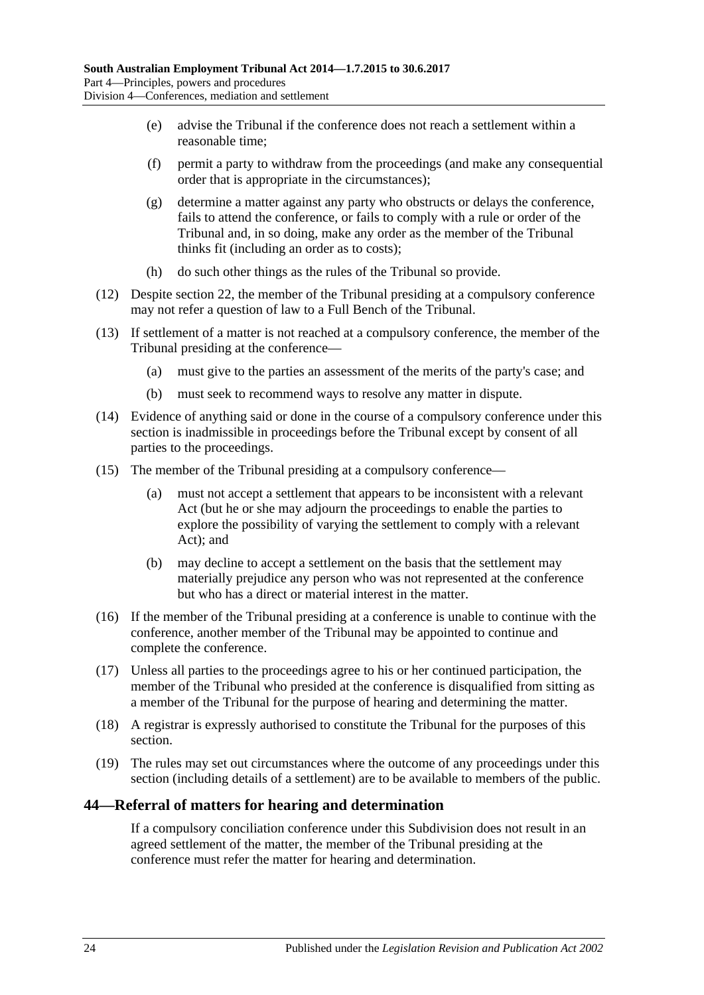- (e) advise the Tribunal if the conference does not reach a settlement within a reasonable time;
- (f) permit a party to withdraw from the proceedings (and make any consequential order that is appropriate in the circumstances);
- (g) determine a matter against any party who obstructs or delays the conference, fails to attend the conference, or fails to comply with a rule or order of the Tribunal and, in so doing, make any order as the member of the Tribunal thinks fit (including an order as to costs);
- (h) do such other things as the rules of the Tribunal so provide.
- (12) Despite [section](#page-13-0) 22, the member of the Tribunal presiding at a compulsory conference may not refer a question of law to a Full Bench of the Tribunal.
- (13) If settlement of a matter is not reached at a compulsory conference, the member of the Tribunal presiding at the conference—
	- (a) must give to the parties an assessment of the merits of the party's case; and
	- (b) must seek to recommend ways to resolve any matter in dispute.
- (14) Evidence of anything said or done in the course of a compulsory conference under this section is inadmissible in proceedings before the Tribunal except by consent of all parties to the proceedings.
- <span id="page-23-1"></span>(15) The member of the Tribunal presiding at a compulsory conference—
	- (a) must not accept a settlement that appears to be inconsistent with a relevant Act (but he or she may adjourn the proceedings to enable the parties to explore the possibility of varying the settlement to comply with a relevant Act); and
	- (b) may decline to accept a settlement on the basis that the settlement may materially prejudice any person who was not represented at the conference but who has a direct or material interest in the matter.
- (16) If the member of the Tribunal presiding at a conference is unable to continue with the conference, another member of the Tribunal may be appointed to continue and complete the conference.
- (17) Unless all parties to the proceedings agree to his or her continued participation, the member of the Tribunal who presided at the conference is disqualified from sitting as a member of the Tribunal for the purpose of hearing and determining the matter.
- (18) A registrar is expressly authorised to constitute the Tribunal for the purposes of this section.
- (19) The rules may set out circumstances where the outcome of any proceedings under this section (including details of a settlement) are to be available to members of the public.

#### <span id="page-23-0"></span>**44—Referral of matters for hearing and determination**

If a compulsory conciliation conference under this Subdivision does not result in an agreed settlement of the matter, the member of the Tribunal presiding at the conference must refer the matter for hearing and determination.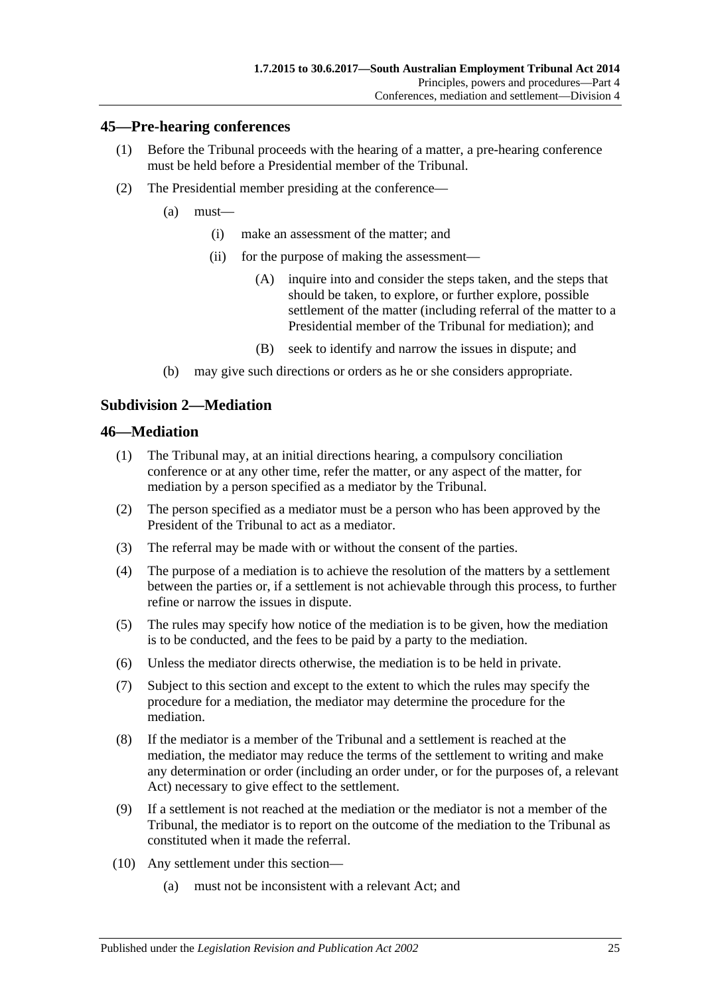#### <span id="page-24-0"></span>**45—Pre-hearing conferences**

- (1) Before the Tribunal proceeds with the hearing of a matter, a pre-hearing conference must be held before a Presidential member of the Tribunal.
- (2) The Presidential member presiding at the conference—
	- (a) must—
		- (i) make an assessment of the matter; and
		- (ii) for the purpose of making the assessment—
			- (A) inquire into and consider the steps taken, and the steps that should be taken, to explore, or further explore, possible settlement of the matter (including referral of the matter to a Presidential member of the Tribunal for mediation); and
			- (B) seek to identify and narrow the issues in dispute; and
	- (b) may give such directions or orders as he or she considers appropriate.

#### <span id="page-24-1"></span>**Subdivision 2—Mediation**

#### <span id="page-24-2"></span>**46—Mediation**

- (1) The Tribunal may, at an initial directions hearing, a compulsory conciliation conference or at any other time, refer the matter, or any aspect of the matter, for mediation by a person specified as a mediator by the Tribunal.
- (2) The person specified as a mediator must be a person who has been approved by the President of the Tribunal to act as a mediator.
- (3) The referral may be made with or without the consent of the parties.
- (4) The purpose of a mediation is to achieve the resolution of the matters by a settlement between the parties or, if a settlement is not achievable through this process, to further refine or narrow the issues in dispute.
- (5) The rules may specify how notice of the mediation is to be given, how the mediation is to be conducted, and the fees to be paid by a party to the mediation.
- (6) Unless the mediator directs otherwise, the mediation is to be held in private.
- (7) Subject to this section and except to the extent to which the rules may specify the procedure for a mediation, the mediator may determine the procedure for the mediation.
- (8) If the mediator is a member of the Tribunal and a settlement is reached at the mediation, the mediator may reduce the terms of the settlement to writing and make any determination or order (including an order under, or for the purposes of, a relevant Act) necessary to give effect to the settlement.
- (9) If a settlement is not reached at the mediation or the mediator is not a member of the Tribunal, the mediator is to report on the outcome of the mediation to the Tribunal as constituted when it made the referral.
- (10) Any settlement under this section—
	- (a) must not be inconsistent with a relevant Act; and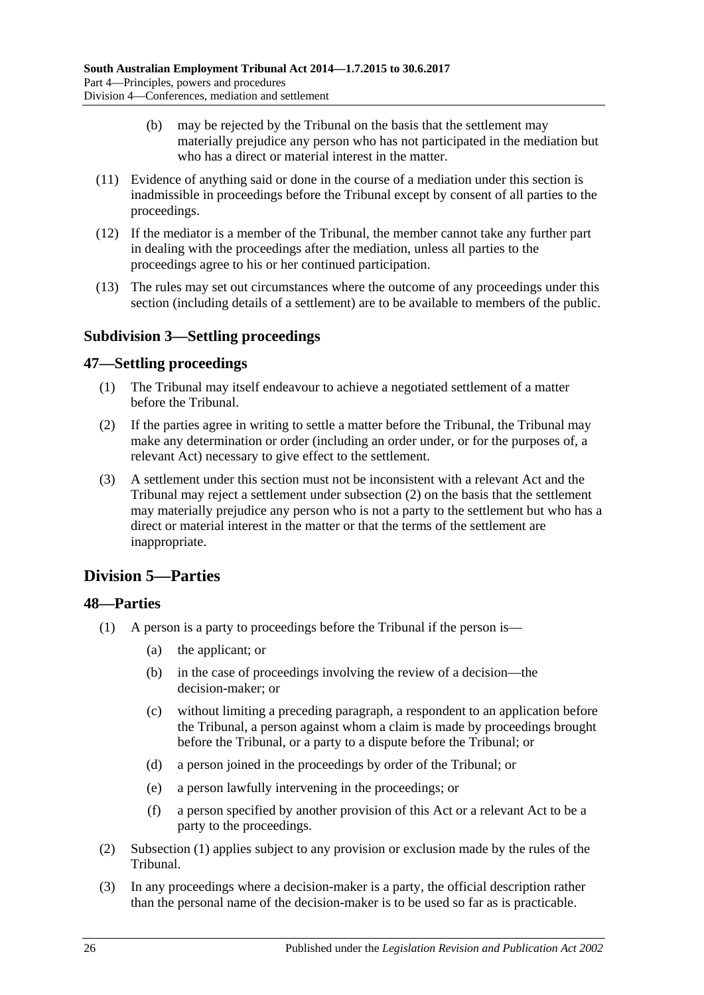- (b) may be rejected by the Tribunal on the basis that the settlement may materially prejudice any person who has not participated in the mediation but who has a direct or material interest in the matter.
- (11) Evidence of anything said or done in the course of a mediation under this section is inadmissible in proceedings before the Tribunal except by consent of all parties to the proceedings.
- (12) If the mediator is a member of the Tribunal, the member cannot take any further part in dealing with the proceedings after the mediation, unless all parties to the proceedings agree to his or her continued participation.
- (13) The rules may set out circumstances where the outcome of any proceedings under this section (including details of a settlement) are to be available to members of the public.

## <span id="page-25-0"></span>**Subdivision 3—Settling proceedings**

## <span id="page-25-1"></span>**47—Settling proceedings**

- (1) The Tribunal may itself endeavour to achieve a negotiated settlement of a matter before the Tribunal.
- <span id="page-25-4"></span>(2) If the parties agree in writing to settle a matter before the Tribunal, the Tribunal may make any determination or order (including an order under, or for the purposes of, a relevant Act) necessary to give effect to the settlement.
- (3) A settlement under this section must not be inconsistent with a relevant Act and the Tribunal may reject a settlement under [subsection](#page-25-4) (2) on the basis that the settlement may materially prejudice any person who is not a party to the settlement but who has a direct or material interest in the matter or that the terms of the settlement are inappropriate.

## <span id="page-25-2"></span>**Division 5—Parties**

## <span id="page-25-5"></span><span id="page-25-3"></span>**48—Parties**

- (1) A person is a party to proceedings before the Tribunal if the person is—
	- (a) the applicant; or
	- (b) in the case of proceedings involving the review of a decision—the decision-maker; or
	- (c) without limiting a preceding paragraph, a respondent to an application before the Tribunal, a person against whom a claim is made by proceedings brought before the Tribunal, or a party to a dispute before the Tribunal; or
	- (d) a person joined in the proceedings by order of the Tribunal; or
	- (e) a person lawfully intervening in the proceedings; or
	- (f) a person specified by another provision of this Act or a relevant Act to be a party to the proceedings.
- (2) [Subsection](#page-25-5) (1) applies subject to any provision or exclusion made by the rules of the Tribunal.
- (3) In any proceedings where a decision-maker is a party, the official description rather than the personal name of the decision-maker is to be used so far as is practicable.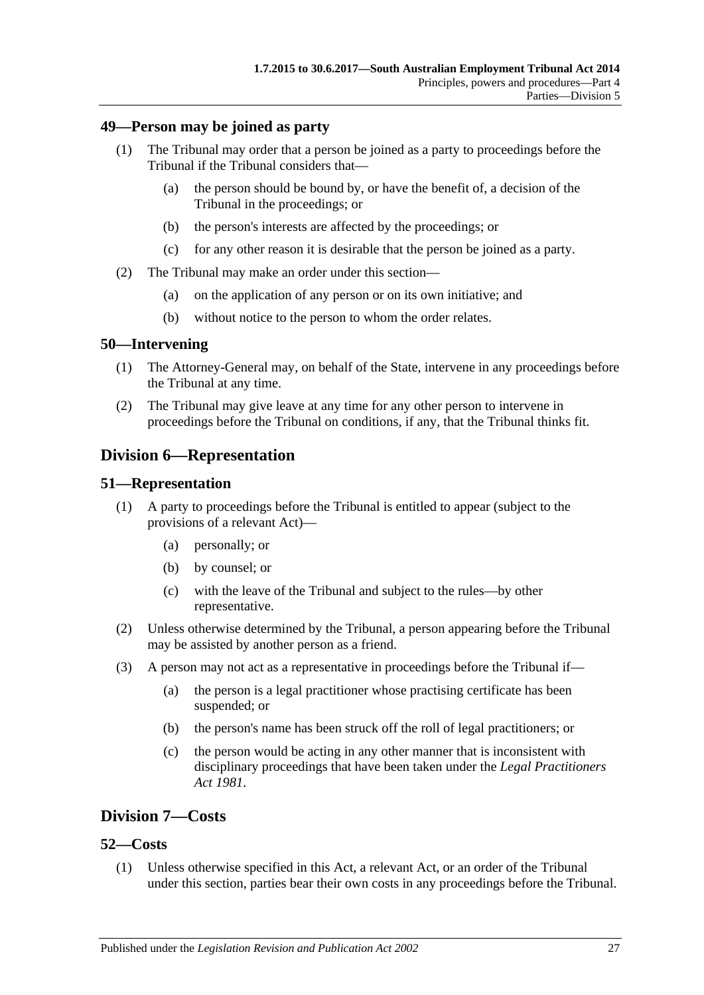#### <span id="page-26-0"></span>**49—Person may be joined as party**

- (1) The Tribunal may order that a person be joined as a party to proceedings before the Tribunal if the Tribunal considers that—
	- (a) the person should be bound by, or have the benefit of, a decision of the Tribunal in the proceedings; or
	- (b) the person's interests are affected by the proceedings; or
	- (c) for any other reason it is desirable that the person be joined as a party.
- (2) The Tribunal may make an order under this section—
	- (a) on the application of any person or on its own initiative; and
	- (b) without notice to the person to whom the order relates.

#### <span id="page-26-1"></span>**50—Intervening**

- (1) The Attorney-General may, on behalf of the State, intervene in any proceedings before the Tribunal at any time.
- (2) The Tribunal may give leave at any time for any other person to intervene in proceedings before the Tribunal on conditions, if any, that the Tribunal thinks fit.

## <span id="page-26-2"></span>**Division 6—Representation**

#### <span id="page-26-3"></span>**51—Representation**

- (1) A party to proceedings before the Tribunal is entitled to appear (subject to the provisions of a relevant Act)—
	- (a) personally; or
	- (b) by counsel; or
	- (c) with the leave of the Tribunal and subject to the rules—by other representative.
- (2) Unless otherwise determined by the Tribunal, a person appearing before the Tribunal may be assisted by another person as a friend.
- (3) A person may not act as a representative in proceedings before the Tribunal if—
	- (a) the person is a legal practitioner whose practising certificate has been suspended; or
	- (b) the person's name has been struck off the roll of legal practitioners; or
	- (c) the person would be acting in any other manner that is inconsistent with disciplinary proceedings that have been taken under the *[Legal Practitioners](http://www.legislation.sa.gov.au/index.aspx?action=legref&type=act&legtitle=Legal%20Practitioners%20Act%201981)  Act [1981](http://www.legislation.sa.gov.au/index.aspx?action=legref&type=act&legtitle=Legal%20Practitioners%20Act%201981)*.

## <span id="page-26-4"></span>**Division 7—Costs**

#### <span id="page-26-5"></span>**52—Costs**

(1) Unless otherwise specified in this Act, a relevant Act, or an order of the Tribunal under this section, parties bear their own costs in any proceedings before the Tribunal.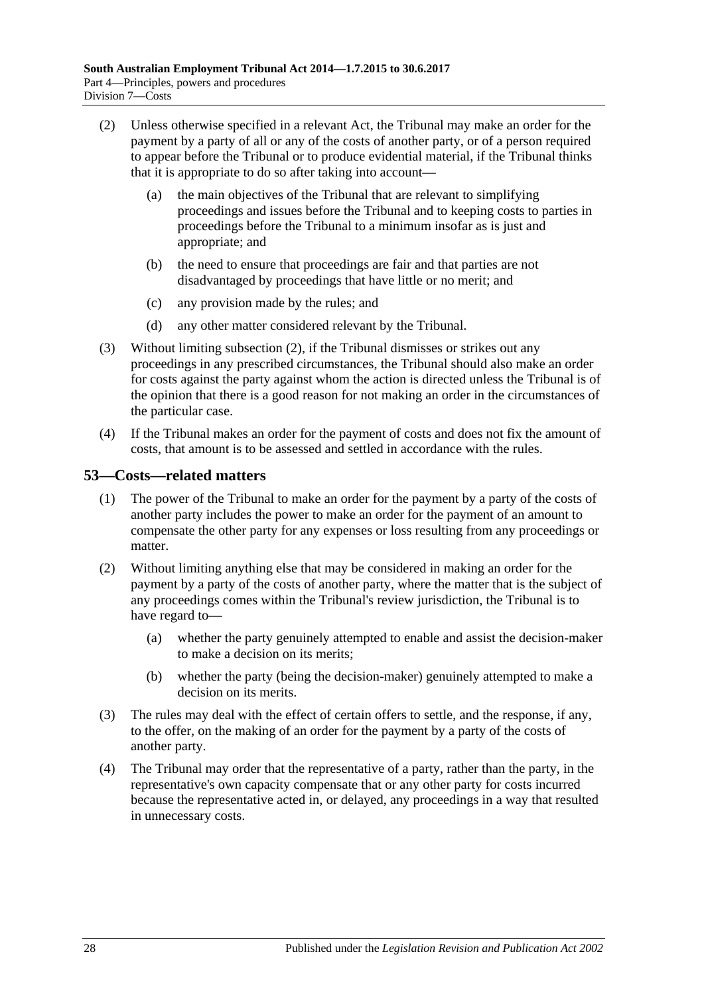- <span id="page-27-1"></span>(2) Unless otherwise specified in a relevant Act, the Tribunal may make an order for the payment by a party of all or any of the costs of another party, or of a person required to appear before the Tribunal or to produce evidential material, if the Tribunal thinks that it is appropriate to do so after taking into account—
	- (a) the main objectives of the Tribunal that are relevant to simplifying proceedings and issues before the Tribunal and to keeping costs to parties in proceedings before the Tribunal to a minimum insofar as is just and appropriate; and
	- (b) the need to ensure that proceedings are fair and that parties are not disadvantaged by proceedings that have little or no merit; and
	- (c) any provision made by the rules; and
	- (d) any other matter considered relevant by the Tribunal.
- (3) Without limiting [subsection](#page-27-1) (2), if the Tribunal dismisses or strikes out any proceedings in any prescribed circumstances, the Tribunal should also make an order for costs against the party against whom the action is directed unless the Tribunal is of the opinion that there is a good reason for not making an order in the circumstances of the particular case.
- (4) If the Tribunal makes an order for the payment of costs and does not fix the amount of costs, that amount is to be assessed and settled in accordance with the rules.

## <span id="page-27-0"></span>**53—Costs—related matters**

- (1) The power of the Tribunal to make an order for the payment by a party of the costs of another party includes the power to make an order for the payment of an amount to compensate the other party for any expenses or loss resulting from any proceedings or matter.
- (2) Without limiting anything else that may be considered in making an order for the payment by a party of the costs of another party, where the matter that is the subject of any proceedings comes within the Tribunal's review jurisdiction, the Tribunal is to have regard to—
	- (a) whether the party genuinely attempted to enable and assist the decision-maker to make a decision on its merits;
	- (b) whether the party (being the decision-maker) genuinely attempted to make a decision on its merits.
- (3) The rules may deal with the effect of certain offers to settle, and the response, if any, to the offer, on the making of an order for the payment by a party of the costs of another party.
- (4) The Tribunal may order that the representative of a party, rather than the party, in the representative's own capacity compensate that or any other party for costs incurred because the representative acted in, or delayed, any proceedings in a way that resulted in unnecessary costs.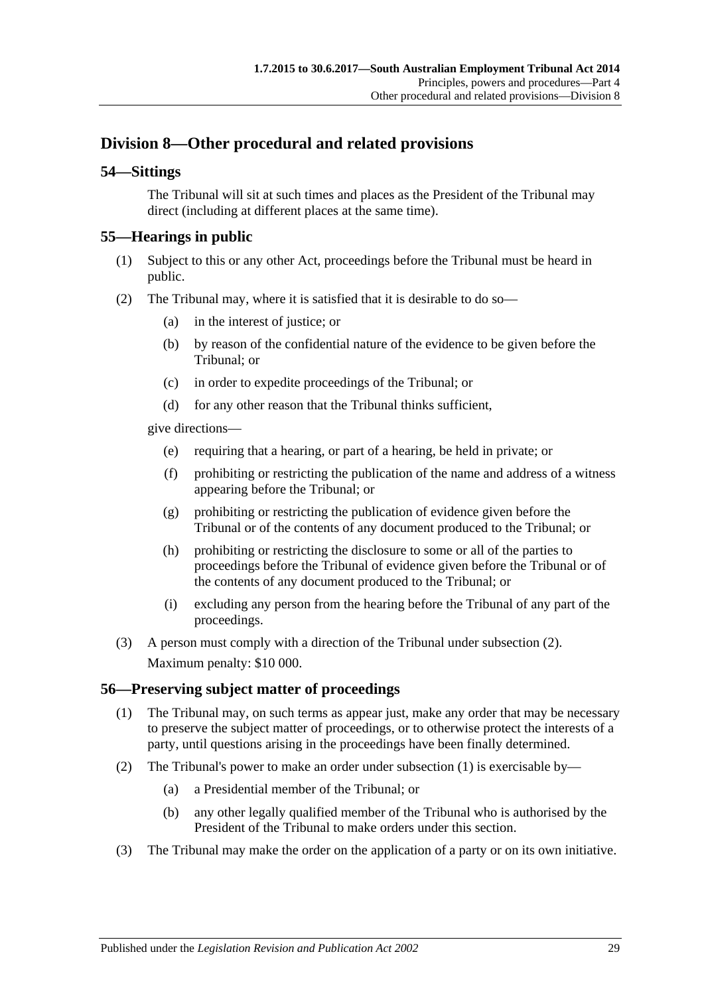## <span id="page-28-0"></span>**Division 8—Other procedural and related provisions**

## <span id="page-28-1"></span>**54—Sittings**

The Tribunal will sit at such times and places as the President of the Tribunal may direct (including at different places at the same time).

## <span id="page-28-2"></span>**55—Hearings in public**

- (1) Subject to this or any other Act, proceedings before the Tribunal must be heard in public.
- <span id="page-28-4"></span>(2) The Tribunal may, where it is satisfied that it is desirable to do so—
	- (a) in the interest of justice; or
	- (b) by reason of the confidential nature of the evidence to be given before the Tribunal; or
	- (c) in order to expedite proceedings of the Tribunal; or
	- (d) for any other reason that the Tribunal thinks sufficient,

give directions—

- (e) requiring that a hearing, or part of a hearing, be held in private; or
- (f) prohibiting or restricting the publication of the name and address of a witness appearing before the Tribunal; or
- (g) prohibiting or restricting the publication of evidence given before the Tribunal or of the contents of any document produced to the Tribunal; or
- (h) prohibiting or restricting the disclosure to some or all of the parties to proceedings before the Tribunal of evidence given before the Tribunal or of the contents of any document produced to the Tribunal; or
- (i) excluding any person from the hearing before the Tribunal of any part of the proceedings.
- (3) A person must comply with a direction of the Tribunal under [subsection](#page-28-4) (2). Maximum penalty: \$10 000.

#### <span id="page-28-5"></span><span id="page-28-3"></span>**56—Preserving subject matter of proceedings**

- (1) The Tribunal may, on such terms as appear just, make any order that may be necessary to preserve the subject matter of proceedings, or to otherwise protect the interests of a party, until questions arising in the proceedings have been finally determined.
- (2) The Tribunal's power to make an order under [subsection](#page-28-5) (1) is exercisable by—
	- (a) a Presidential member of the Tribunal; or
	- (b) any other legally qualified member of the Tribunal who is authorised by the President of the Tribunal to make orders under this section.
- (3) The Tribunal may make the order on the application of a party or on its own initiative.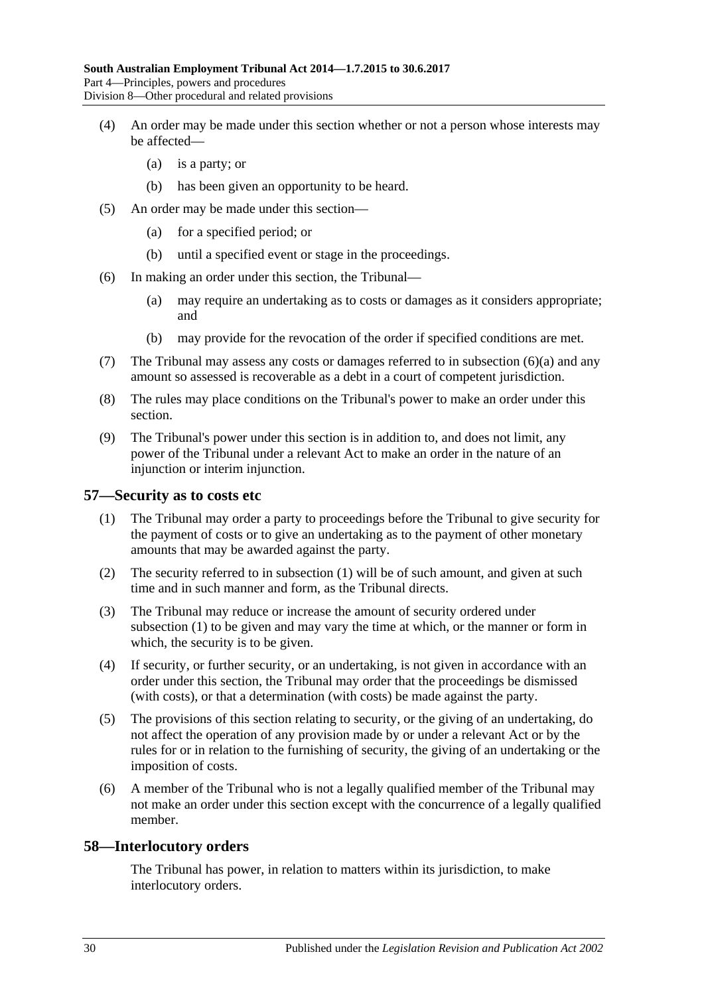- (4) An order may be made under this section whether or not a person whose interests may be affected—
	- (a) is a party; or
	- (b) has been given an opportunity to be heard.
- (5) An order may be made under this section—
	- (a) for a specified period; or
	- (b) until a specified event or stage in the proceedings.
- <span id="page-29-2"></span>(6) In making an order under this section, the Tribunal—
	- (a) may require an undertaking as to costs or damages as it considers appropriate; and
	- (b) may provide for the revocation of the order if specified conditions are met.
- (7) The Tribunal may assess any costs or damages referred to in [subsection](#page-29-2) (6)(a) and any amount so assessed is recoverable as a debt in a court of competent jurisdiction.
- (8) The rules may place conditions on the Tribunal's power to make an order under this section.
- (9) The Tribunal's power under this section is in addition to, and does not limit, any power of the Tribunal under a relevant Act to make an order in the nature of an injunction or interim injunction.

#### <span id="page-29-3"></span><span id="page-29-0"></span>**57—Security as to costs etc**

- (1) The Tribunal may order a party to proceedings before the Tribunal to give security for the payment of costs or to give an undertaking as to the payment of other monetary amounts that may be awarded against the party.
- (2) The security referred to in [subsection](#page-29-3) (1) will be of such amount, and given at such time and in such manner and form, as the Tribunal directs.
- (3) The Tribunal may reduce or increase the amount of security ordered under [subsection](#page-29-3) (1) to be given and may vary the time at which, or the manner or form in which, the security is to be given.
- (4) If security, or further security, or an undertaking, is not given in accordance with an order under this section, the Tribunal may order that the proceedings be dismissed (with costs), or that a determination (with costs) be made against the party.
- (5) The provisions of this section relating to security, or the giving of an undertaking, do not affect the operation of any provision made by or under a relevant Act or by the rules for or in relation to the furnishing of security, the giving of an undertaking or the imposition of costs.
- (6) A member of the Tribunal who is not a legally qualified member of the Tribunal may not make an order under this section except with the concurrence of a legally qualified member.

#### <span id="page-29-1"></span>**58—Interlocutory orders**

The Tribunal has power, in relation to matters within its jurisdiction, to make interlocutory orders.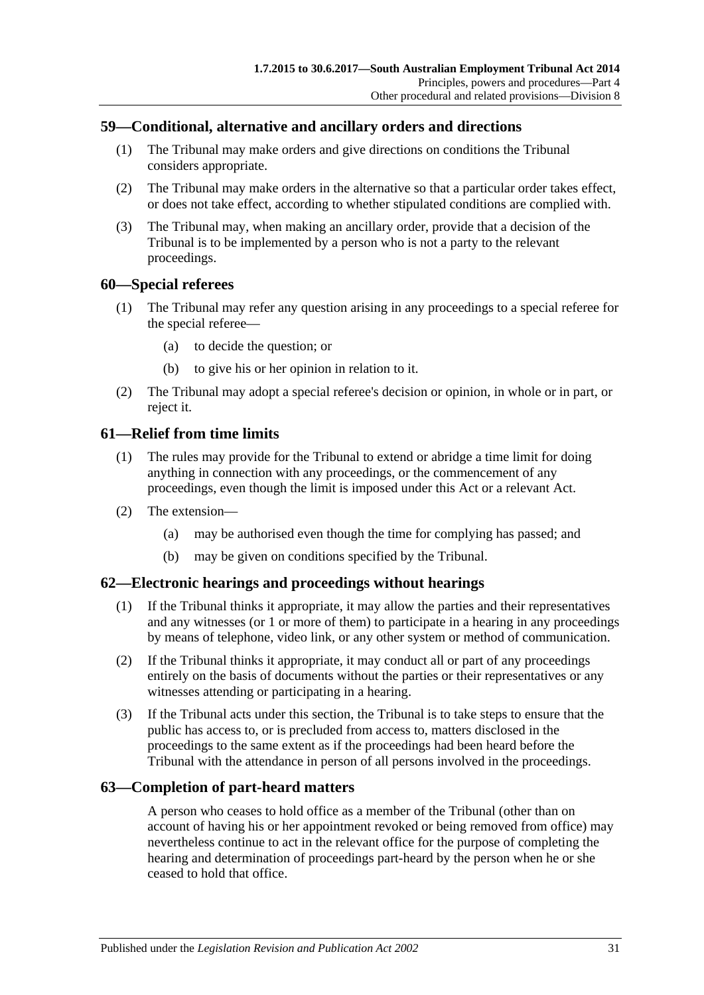### <span id="page-30-0"></span>**59—Conditional, alternative and ancillary orders and directions**

- (1) The Tribunal may make orders and give directions on conditions the Tribunal considers appropriate.
- (2) The Tribunal may make orders in the alternative so that a particular order takes effect, or does not take effect, according to whether stipulated conditions are complied with.
- (3) The Tribunal may, when making an ancillary order, provide that a decision of the Tribunal is to be implemented by a person who is not a party to the relevant proceedings.

#### <span id="page-30-1"></span>**60—Special referees**

- (1) The Tribunal may refer any question arising in any proceedings to a special referee for the special referee—
	- (a) to decide the question; or
	- (b) to give his or her opinion in relation to it.
- (2) The Tribunal may adopt a special referee's decision or opinion, in whole or in part, or reject it.

## <span id="page-30-2"></span>**61—Relief from time limits**

- (1) The rules may provide for the Tribunal to extend or abridge a time limit for doing anything in connection with any proceedings, or the commencement of any proceedings, even though the limit is imposed under this Act or a relevant Act.
- (2) The extension—
	- (a) may be authorised even though the time for complying has passed; and
	- (b) may be given on conditions specified by the Tribunal.

#### <span id="page-30-3"></span>**62—Electronic hearings and proceedings without hearings**

- (1) If the Tribunal thinks it appropriate, it may allow the parties and their representatives and any witnesses (or 1 or more of them) to participate in a hearing in any proceedings by means of telephone, video link, or any other system or method of communication.
- (2) If the Tribunal thinks it appropriate, it may conduct all or part of any proceedings entirely on the basis of documents without the parties or their representatives or any witnesses attending or participating in a hearing.
- (3) If the Tribunal acts under this section, the Tribunal is to take steps to ensure that the public has access to, or is precluded from access to, matters disclosed in the proceedings to the same extent as if the proceedings had been heard before the Tribunal with the attendance in person of all persons involved in the proceedings.

#### <span id="page-30-4"></span>**63—Completion of part-heard matters**

A person who ceases to hold office as a member of the Tribunal (other than on account of having his or her appointment revoked or being removed from office) may nevertheless continue to act in the relevant office for the purpose of completing the hearing and determination of proceedings part-heard by the person when he or she ceased to hold that office.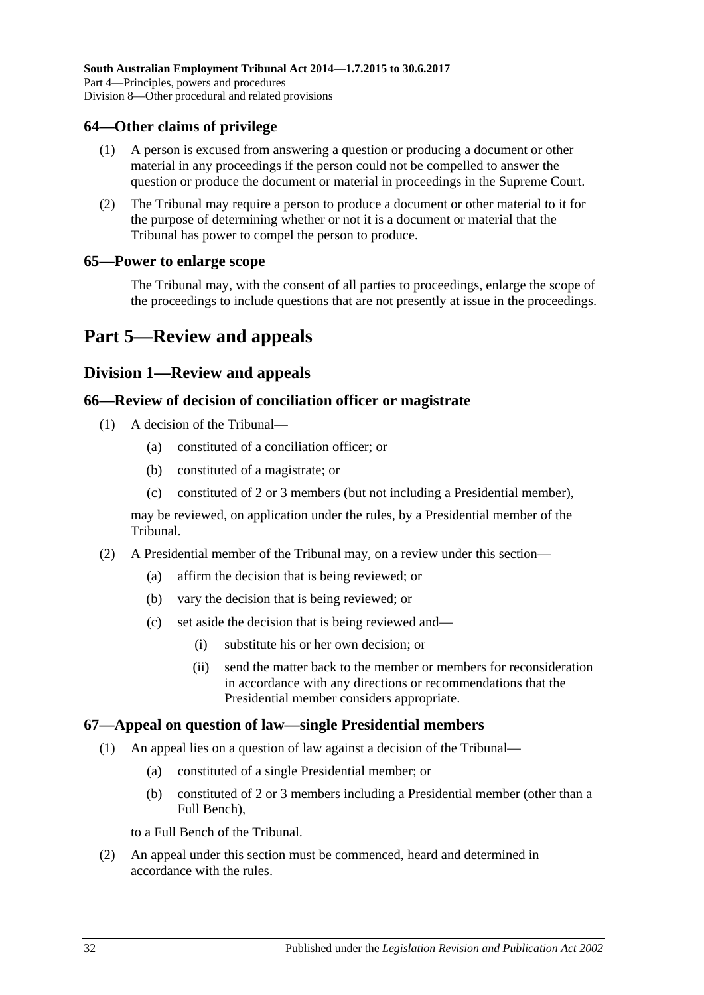#### <span id="page-31-0"></span>**64—Other claims of privilege**

- (1) A person is excused from answering a question or producing a document or other material in any proceedings if the person could not be compelled to answer the question or produce the document or material in proceedings in the Supreme Court.
- (2) The Tribunal may require a person to produce a document or other material to it for the purpose of determining whether or not it is a document or material that the Tribunal has power to compel the person to produce.

#### <span id="page-31-1"></span>**65—Power to enlarge scope**

The Tribunal may, with the consent of all parties to proceedings, enlarge the scope of the proceedings to include questions that are not presently at issue in the proceedings.

## <span id="page-31-3"></span><span id="page-31-2"></span>**Part 5—Review and appeals**

## **Division 1—Review and appeals**

#### <span id="page-31-4"></span>**66—Review of decision of conciliation officer or magistrate**

- (1) A decision of the Tribunal—
	- (a) constituted of a conciliation officer; or
	- (b) constituted of a magistrate; or
	- (c) constituted of 2 or 3 members (but not including a Presidential member),

may be reviewed, on application under the rules, by a Presidential member of the Tribunal.

- (2) A Presidential member of the Tribunal may, on a review under this section—
	- (a) affirm the decision that is being reviewed; or
	- (b) vary the decision that is being reviewed; or
	- (c) set aside the decision that is being reviewed and—
		- (i) substitute his or her own decision; or
		- (ii) send the matter back to the member or members for reconsideration in accordance with any directions or recommendations that the Presidential member considers appropriate.

#### <span id="page-31-5"></span>**67—Appeal on question of law—single Presidential members**

- (1) An appeal lies on a question of law against a decision of the Tribunal—
	- (a) constituted of a single Presidential member; or
	- (b) constituted of 2 or 3 members including a Presidential member (other than a Full Bench),

to a Full Bench of the Tribunal.

(2) An appeal under this section must be commenced, heard and determined in accordance with the rules.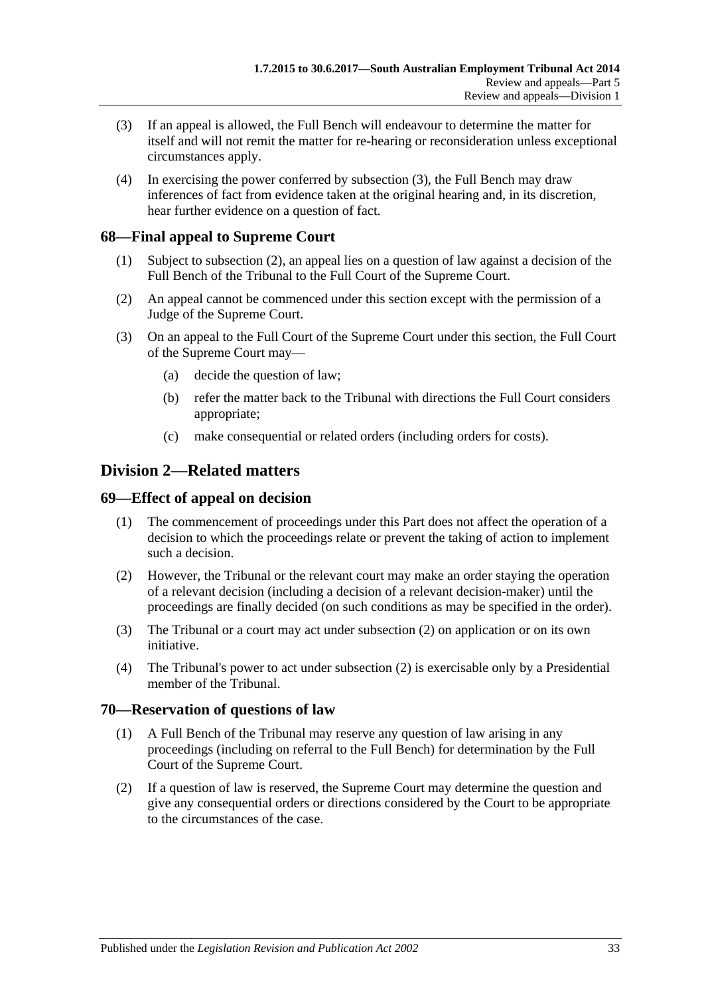- <span id="page-32-4"></span>(3) If an appeal is allowed, the Full Bench will endeavour to determine the matter for itself and will not remit the matter for re-hearing or reconsideration unless exceptional circumstances apply.
- (4) In exercising the power conferred by [subsection](#page-32-4) (3), the Full Bench may draw inferences of fact from evidence taken at the original hearing and, in its discretion, hear further evidence on a question of fact.

## <span id="page-32-0"></span>**68—Final appeal to Supreme Court**

- (1) Subject to [subsection](#page-32-5) (2), an appeal lies on a question of law against a decision of the Full Bench of the Tribunal to the Full Court of the Supreme Court.
- <span id="page-32-5"></span>(2) An appeal cannot be commenced under this section except with the permission of a Judge of the Supreme Court.
- (3) On an appeal to the Full Court of the Supreme Court under this section, the Full Court of the Supreme Court may—
	- (a) decide the question of law;
	- (b) refer the matter back to the Tribunal with directions the Full Court considers appropriate;
	- (c) make consequential or related orders (including orders for costs).

## <span id="page-32-1"></span>**Division 2—Related matters**

#### <span id="page-32-2"></span>**69—Effect of appeal on decision**

- (1) The commencement of proceedings under this Part does not affect the operation of a decision to which the proceedings relate or prevent the taking of action to implement such a decision.
- <span id="page-32-6"></span>(2) However, the Tribunal or the relevant court may make an order staying the operation of a relevant decision (including a decision of a relevant decision-maker) until the proceedings are finally decided (on such conditions as may be specified in the order).
- (3) The Tribunal or a court may act under [subsection](#page-32-6) (2) on application or on its own initiative.
- (4) The Tribunal's power to act under [subsection](#page-32-6) (2) is exercisable only by a Presidential member of the Tribunal.

#### <span id="page-32-3"></span>**70—Reservation of questions of law**

- (1) A Full Bench of the Tribunal may reserve any question of law arising in any proceedings (including on referral to the Full Bench) for determination by the Full Court of the Supreme Court.
- (2) If a question of law is reserved, the Supreme Court may determine the question and give any consequential orders or directions considered by the Court to be appropriate to the circumstances of the case.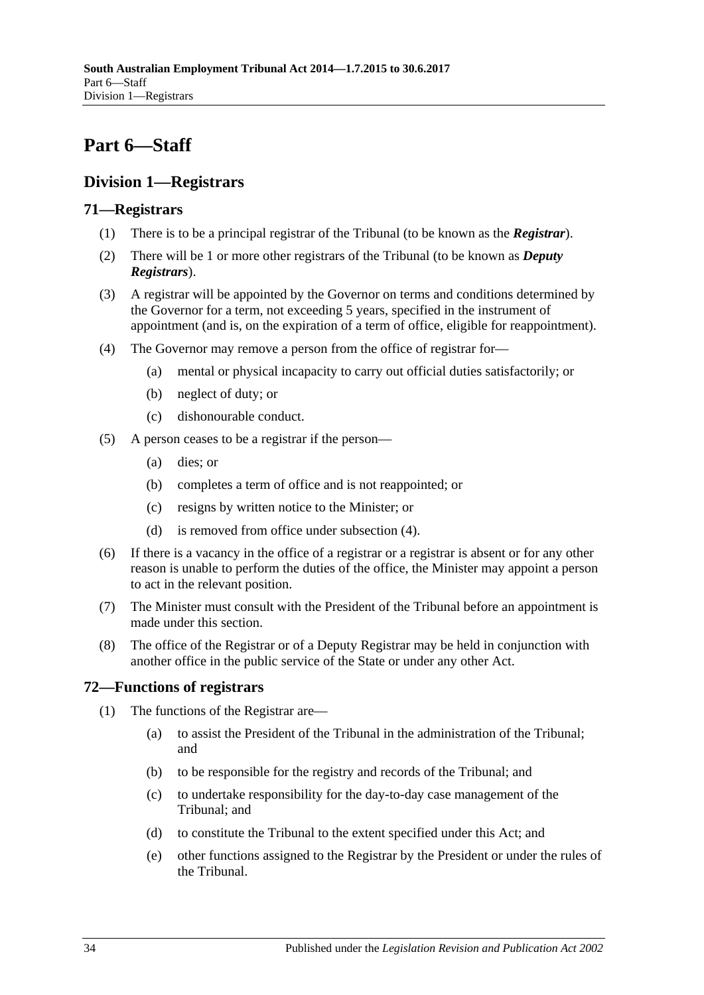## <span id="page-33-0"></span>**Part 6—Staff**

## <span id="page-33-1"></span>**Division 1—Registrars**

## <span id="page-33-2"></span>**71—Registrars**

- (1) There is to be a principal registrar of the Tribunal (to be known as the *Registrar*).
- (2) There will be 1 or more other registrars of the Tribunal (to be known as *Deputy Registrars*).
- (3) A registrar will be appointed by the Governor on terms and conditions determined by the Governor for a term, not exceeding 5 years, specified in the instrument of appointment (and is, on the expiration of a term of office, eligible for reappointment).
- <span id="page-33-4"></span>(4) The Governor may remove a person from the office of registrar for—
	- (a) mental or physical incapacity to carry out official duties satisfactorily; or
	- (b) neglect of duty; or
	- (c) dishonourable conduct.
- (5) A person ceases to be a registrar if the person—
	- (a) dies; or
	- (b) completes a term of office and is not reappointed; or
	- (c) resigns by written notice to the Minister; or
	- (d) is removed from office under [subsection](#page-33-4) (4).
- (6) If there is a vacancy in the office of a registrar or a registrar is absent or for any other reason is unable to perform the duties of the office, the Minister may appoint a person to act in the relevant position.
- (7) The Minister must consult with the President of the Tribunal before an appointment is made under this section.
- (8) The office of the Registrar or of a Deputy Registrar may be held in conjunction with another office in the public service of the State or under any other Act.

## <span id="page-33-3"></span>**72—Functions of registrars**

- (1) The functions of the Registrar are—
	- (a) to assist the President of the Tribunal in the administration of the Tribunal; and
	- (b) to be responsible for the registry and records of the Tribunal; and
	- (c) to undertake responsibility for the day-to-day case management of the Tribunal; and
	- (d) to constitute the Tribunal to the extent specified under this Act; and
	- (e) other functions assigned to the Registrar by the President or under the rules of the Tribunal.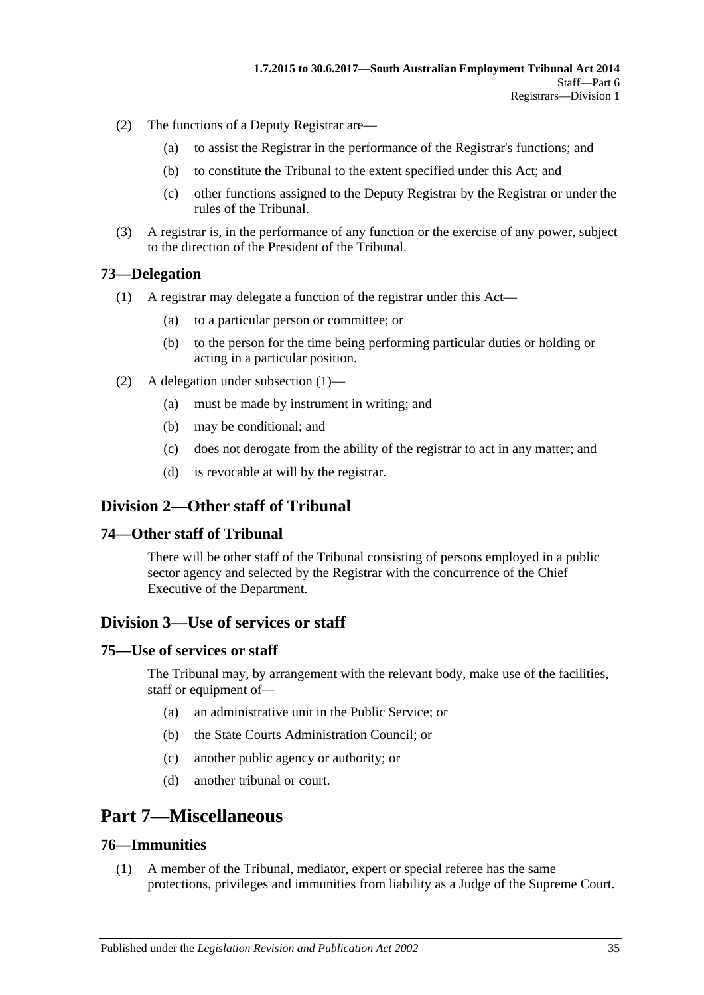- (2) The functions of a Deputy Registrar are—
	- (a) to assist the Registrar in the performance of the Registrar's functions; and
	- (b) to constitute the Tribunal to the extent specified under this Act; and
	- (c) other functions assigned to the Deputy Registrar by the Registrar or under the rules of the Tribunal.
- (3) A registrar is, in the performance of any function or the exercise of any power, subject to the direction of the President of the Tribunal.

#### <span id="page-34-7"></span><span id="page-34-0"></span>**73—Delegation**

- (1) A registrar may delegate a function of the registrar under this Act—
	- (a) to a particular person or committee; or
	- (b) to the person for the time being performing particular duties or holding or acting in a particular position.
- (2) A delegation under [subsection](#page-34-7) (1)—
	- (a) must be made by instrument in writing; and
	- (b) may be conditional; and
	- (c) does not derogate from the ability of the registrar to act in any matter; and
	- (d) is revocable at will by the registrar.

## <span id="page-34-1"></span>**Division 2—Other staff of Tribunal**

#### <span id="page-34-2"></span>**74—Other staff of Tribunal**

There will be other staff of the Tribunal consisting of persons employed in a public sector agency and selected by the Registrar with the concurrence of the Chief Executive of the Department.

### <span id="page-34-3"></span>**Division 3—Use of services or staff**

#### <span id="page-34-4"></span>**75—Use of services or staff**

The Tribunal may, by arrangement with the relevant body, make use of the facilities, staff or equipment of—

- (a) an administrative unit in the Public Service; or
- (b) the State Courts Administration Council; or
- (c) another public agency or authority; or
- (d) another tribunal or court.

## <span id="page-34-5"></span>**Part 7—Miscellaneous**

#### <span id="page-34-6"></span>**76—Immunities**

(1) A member of the Tribunal, mediator, expert or special referee has the same protections, privileges and immunities from liability as a Judge of the Supreme Court.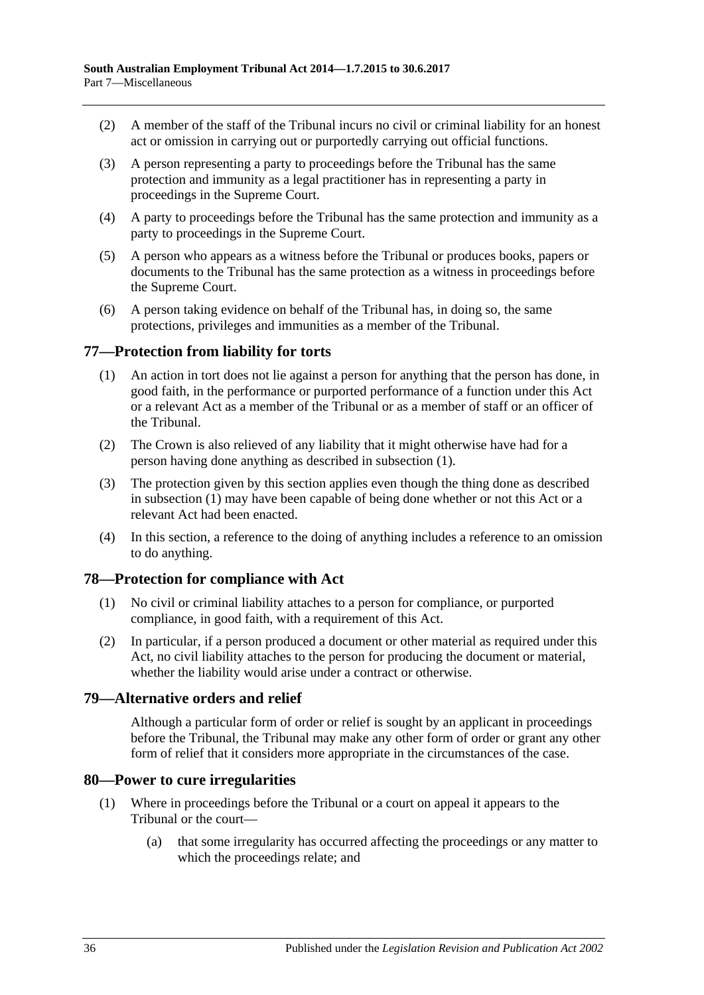- (2) A member of the staff of the Tribunal incurs no civil or criminal liability for an honest act or omission in carrying out or purportedly carrying out official functions.
- (3) A person representing a party to proceedings before the Tribunal has the same protection and immunity as a legal practitioner has in representing a party in proceedings in the Supreme Court.
- (4) A party to proceedings before the Tribunal has the same protection and immunity as a party to proceedings in the Supreme Court.
- (5) A person who appears as a witness before the Tribunal or produces books, papers or documents to the Tribunal has the same protection as a witness in proceedings before the Supreme Court.
- (6) A person taking evidence on behalf of the Tribunal has, in doing so, the same protections, privileges and immunities as a member of the Tribunal.

## <span id="page-35-4"></span><span id="page-35-0"></span>**77—Protection from liability for torts**

- (1) An action in tort does not lie against a person for anything that the person has done, in good faith, in the performance or purported performance of a function under this Act or a relevant Act as a member of the Tribunal or as a member of staff or an officer of the Tribunal.
- (2) The Crown is also relieved of any liability that it might otherwise have had for a person having done anything as described in [subsection](#page-35-4) (1).
- (3) The protection given by this section applies even though the thing done as described in [subsection](#page-35-4) (1) may have been capable of being done whether or not this Act or a relevant Act had been enacted.
- (4) In this section, a reference to the doing of anything includes a reference to an omission to do anything.

#### <span id="page-35-1"></span>**78—Protection for compliance with Act**

- (1) No civil or criminal liability attaches to a person for compliance, or purported compliance, in good faith, with a requirement of this Act.
- (2) In particular, if a person produced a document or other material as required under this Act, no civil liability attaches to the person for producing the document or material, whether the liability would arise under a contract or otherwise.

#### <span id="page-35-2"></span>**79—Alternative orders and relief**

Although a particular form of order or relief is sought by an applicant in proceedings before the Tribunal, the Tribunal may make any other form of order or grant any other form of relief that it considers more appropriate in the circumstances of the case.

#### <span id="page-35-3"></span>**80—Power to cure irregularities**

- (1) Where in proceedings before the Tribunal or a court on appeal it appears to the Tribunal or the court—
	- (a) that some irregularity has occurred affecting the proceedings or any matter to which the proceedings relate; and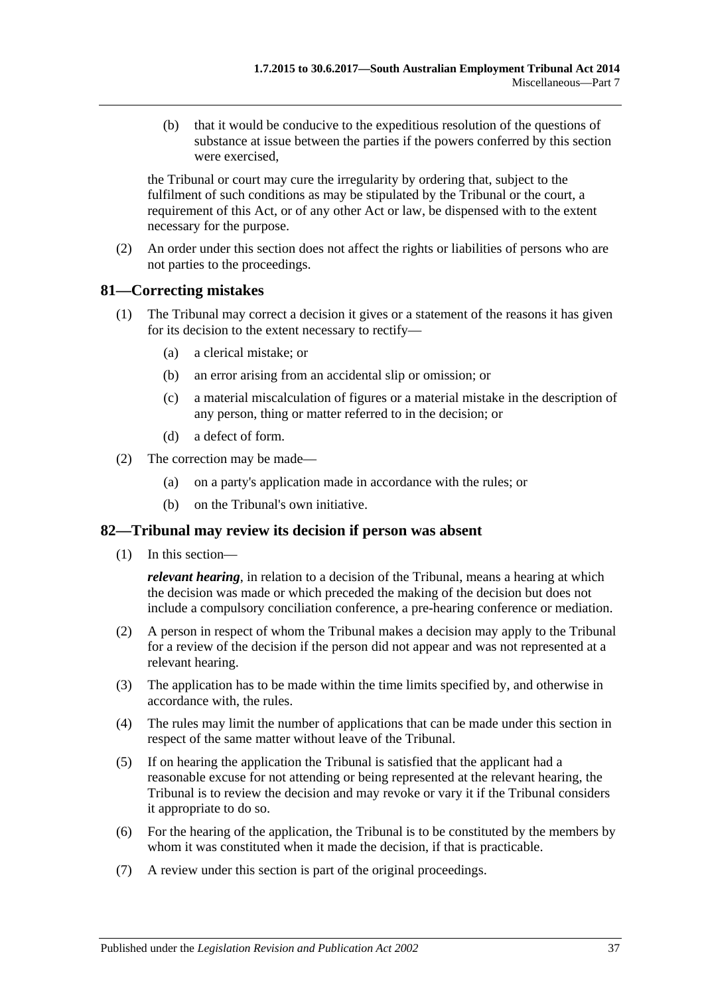(b) that it would be conducive to the expeditious resolution of the questions of substance at issue between the parties if the powers conferred by this section were exercised,

the Tribunal or court may cure the irregularity by ordering that, subject to the fulfilment of such conditions as may be stipulated by the Tribunal or the court, a requirement of this Act, or of any other Act or law, be dispensed with to the extent necessary for the purpose.

(2) An order under this section does not affect the rights or liabilities of persons who are not parties to the proceedings.

#### <span id="page-36-0"></span>**81—Correcting mistakes**

- (1) The Tribunal may correct a decision it gives or a statement of the reasons it has given for its decision to the extent necessary to rectify—
	- (a) a clerical mistake; or
	- (b) an error arising from an accidental slip or omission; or
	- (c) a material miscalculation of figures or a material mistake in the description of any person, thing or matter referred to in the decision; or
	- (d) a defect of form.
- (2) The correction may be made—
	- (a) on a party's application made in accordance with the rules; or
	- (b) on the Tribunal's own initiative.

#### <span id="page-36-1"></span>**82—Tribunal may review its decision if person was absent**

(1) In this section—

*relevant hearing*, in relation to a decision of the Tribunal, means a hearing at which the decision was made or which preceded the making of the decision but does not include a compulsory conciliation conference, a pre-hearing conference or mediation.

- (2) A person in respect of whom the Tribunal makes a decision may apply to the Tribunal for a review of the decision if the person did not appear and was not represented at a relevant hearing.
- (3) The application has to be made within the time limits specified by, and otherwise in accordance with, the rules.
- (4) The rules may limit the number of applications that can be made under this section in respect of the same matter without leave of the Tribunal.
- (5) If on hearing the application the Tribunal is satisfied that the applicant had a reasonable excuse for not attending or being represented at the relevant hearing, the Tribunal is to review the decision and may revoke or vary it if the Tribunal considers it appropriate to do so.
- (6) For the hearing of the application, the Tribunal is to be constituted by the members by whom it was constituted when it made the decision, if that is practicable.
- (7) A review under this section is part of the original proceedings.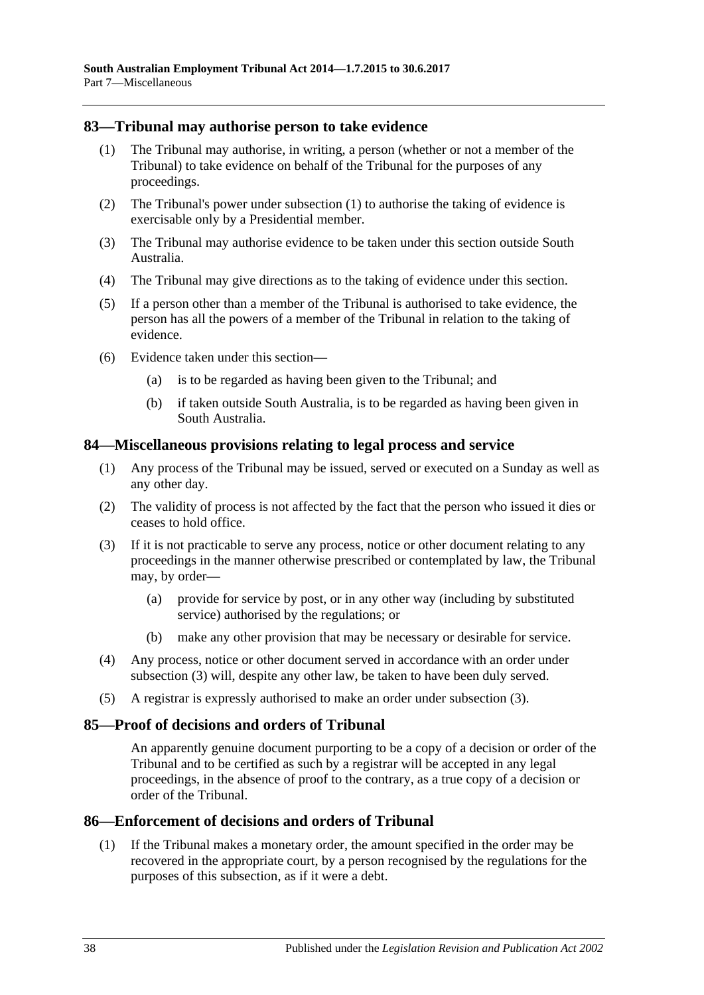#### <span id="page-37-4"></span><span id="page-37-0"></span>**83—Tribunal may authorise person to take evidence**

- (1) The Tribunal may authorise, in writing, a person (whether or not a member of the Tribunal) to take evidence on behalf of the Tribunal for the purposes of any proceedings.
- (2) The Tribunal's power under [subsection](#page-37-4) (1) to authorise the taking of evidence is exercisable only by a Presidential member.
- (3) The Tribunal may authorise evidence to be taken under this section outside South Australia.
- (4) The Tribunal may give directions as to the taking of evidence under this section.
- (5) If a person other than a member of the Tribunal is authorised to take evidence, the person has all the powers of a member of the Tribunal in relation to the taking of evidence.
- (6) Evidence taken under this section—
	- (a) is to be regarded as having been given to the Tribunal; and
	- (b) if taken outside South Australia, is to be regarded as having been given in South Australia.

#### <span id="page-37-1"></span>**84—Miscellaneous provisions relating to legal process and service**

- (1) Any process of the Tribunal may be issued, served or executed on a Sunday as well as any other day.
- (2) The validity of process is not affected by the fact that the person who issued it dies or ceases to hold office.
- <span id="page-37-5"></span>(3) If it is not practicable to serve any process, notice or other document relating to any proceedings in the manner otherwise prescribed or contemplated by law, the Tribunal may, by order—
	- (a) provide for service by post, or in any other way (including by substituted service) authorised by the regulations; or
	- (b) make any other provision that may be necessary or desirable for service.
- (4) Any process, notice or other document served in accordance with an order under [subsection](#page-37-5) (3) will, despite any other law, be taken to have been duly served.
- (5) A registrar is expressly authorised to make an order under [subsection](#page-37-5) (3).

#### <span id="page-37-2"></span>**85—Proof of decisions and orders of Tribunal**

An apparently genuine document purporting to be a copy of a decision or order of the Tribunal and to be certified as such by a registrar will be accepted in any legal proceedings, in the absence of proof to the contrary, as a true copy of a decision or order of the Tribunal.

#### <span id="page-37-3"></span>**86—Enforcement of decisions and orders of Tribunal**

(1) If the Tribunal makes a monetary order, the amount specified in the order may be recovered in the appropriate court, by a person recognised by the regulations for the purposes of this subsection, as if it were a debt.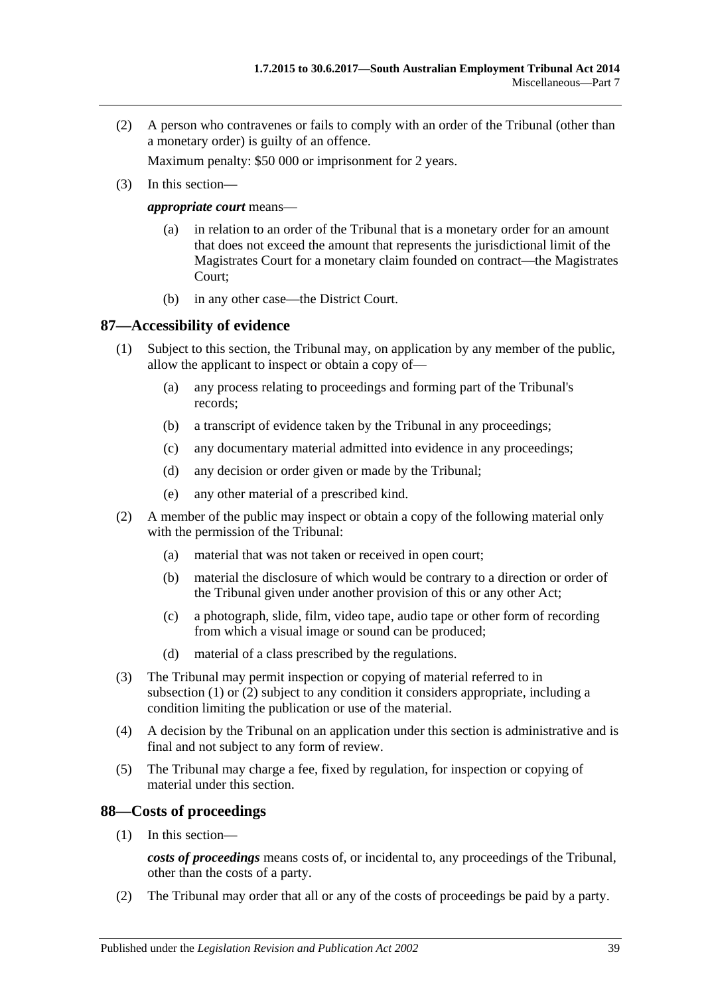(2) A person who contravenes or fails to comply with an order of the Tribunal (other than a monetary order) is guilty of an offence.

Maximum penalty: \$50 000 or imprisonment for 2 years.

(3) In this section—

*appropriate court* means—

- (a) in relation to an order of the Tribunal that is a monetary order for an amount that does not exceed the amount that represents the jurisdictional limit of the Magistrates Court for a monetary claim founded on contract—the Magistrates Court;
- (b) in any other case—the District Court.

#### <span id="page-38-2"></span><span id="page-38-0"></span>**87—Accessibility of evidence**

- (1) Subject to this section, the Tribunal may, on application by any member of the public, allow the applicant to inspect or obtain a copy of—
	- (a) any process relating to proceedings and forming part of the Tribunal's records;
	- (b) a transcript of evidence taken by the Tribunal in any proceedings;
	- (c) any documentary material admitted into evidence in any proceedings;
	- (d) any decision or order given or made by the Tribunal;
	- (e) any other material of a prescribed kind.
- <span id="page-38-3"></span>(2) A member of the public may inspect or obtain a copy of the following material only with the permission of the Tribunal:
	- (a) material that was not taken or received in open court;
	- (b) material the disclosure of which would be contrary to a direction or order of the Tribunal given under another provision of this or any other Act;
	- (c) a photograph, slide, film, video tape, audio tape or other form of recording from which a visual image or sound can be produced;
	- (d) material of a class prescribed by the regulations.
- (3) The Tribunal may permit inspection or copying of material referred to in [subsection](#page-38-2) (1) or [\(2\)](#page-38-3) subject to any condition it considers appropriate, including a condition limiting the publication or use of the material.
- (4) A decision by the Tribunal on an application under this section is administrative and is final and not subject to any form of review.
- (5) The Tribunal may charge a fee, fixed by regulation, for inspection or copying of material under this section.

#### <span id="page-38-1"></span>**88—Costs of proceedings**

(1) In this section—

*costs of proceedings* means costs of, or incidental to, any proceedings of the Tribunal, other than the costs of a party.

(2) The Tribunal may order that all or any of the costs of proceedings be paid by a party.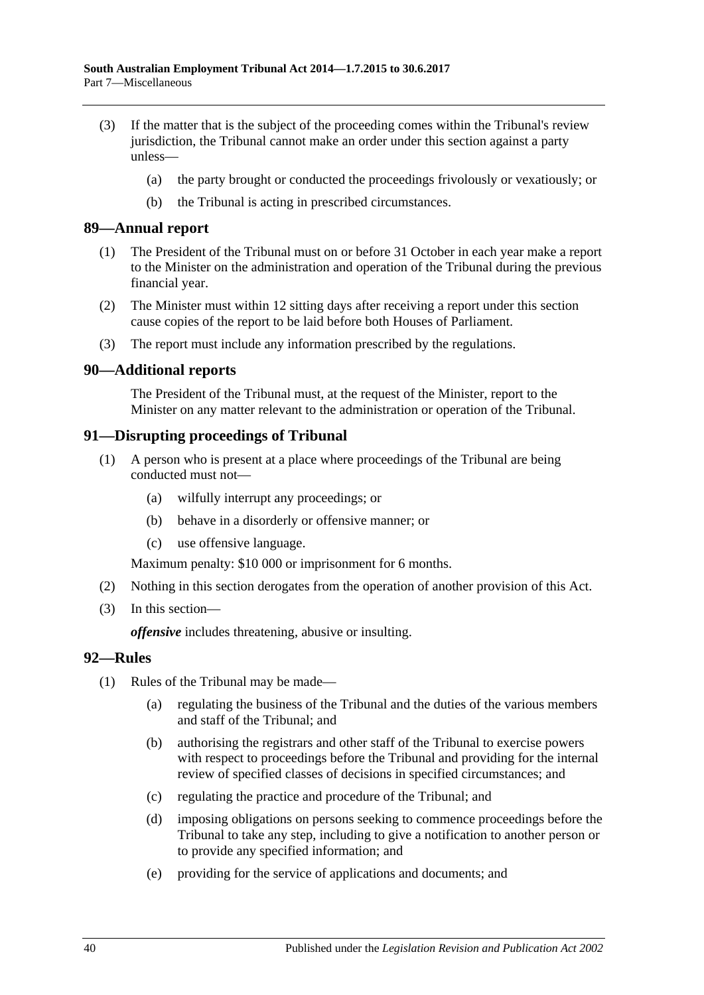- (3) If the matter that is the subject of the proceeding comes within the Tribunal's review jurisdiction, the Tribunal cannot make an order under this section against a party unless—
	- (a) the party brought or conducted the proceedings frivolously or vexatiously; or
	- (b) the Tribunal is acting in prescribed circumstances.

#### <span id="page-39-0"></span>**89—Annual report**

- (1) The President of the Tribunal must on or before 31 October in each year make a report to the Minister on the administration and operation of the Tribunal during the previous financial year.
- (2) The Minister must within 12 sitting days after receiving a report under this section cause copies of the report to be laid before both Houses of Parliament.
- (3) The report must include any information prescribed by the regulations.

#### <span id="page-39-1"></span>**90—Additional reports**

The President of the Tribunal must, at the request of the Minister, report to the Minister on any matter relevant to the administration or operation of the Tribunal.

#### <span id="page-39-2"></span>**91—Disrupting proceedings of Tribunal**

- (1) A person who is present at a place where proceedings of the Tribunal are being conducted must not—
	- (a) wilfully interrupt any proceedings; or
	- (b) behave in a disorderly or offensive manner; or
	- (c) use offensive language.

Maximum penalty: \$10 000 or imprisonment for 6 months.

- (2) Nothing in this section derogates from the operation of another provision of this Act.
- (3) In this section—

*offensive* includes threatening, abusive or insulting.

#### <span id="page-39-3"></span>**92—Rules**

- (1) Rules of the Tribunal may be made—
	- (a) regulating the business of the Tribunal and the duties of the various members and staff of the Tribunal; and
	- (b) authorising the registrars and other staff of the Tribunal to exercise powers with respect to proceedings before the Tribunal and providing for the internal review of specified classes of decisions in specified circumstances; and
	- (c) regulating the practice and procedure of the Tribunal; and
	- (d) imposing obligations on persons seeking to commence proceedings before the Tribunal to take any step, including to give a notification to another person or to provide any specified information; and
	- (e) providing for the service of applications and documents; and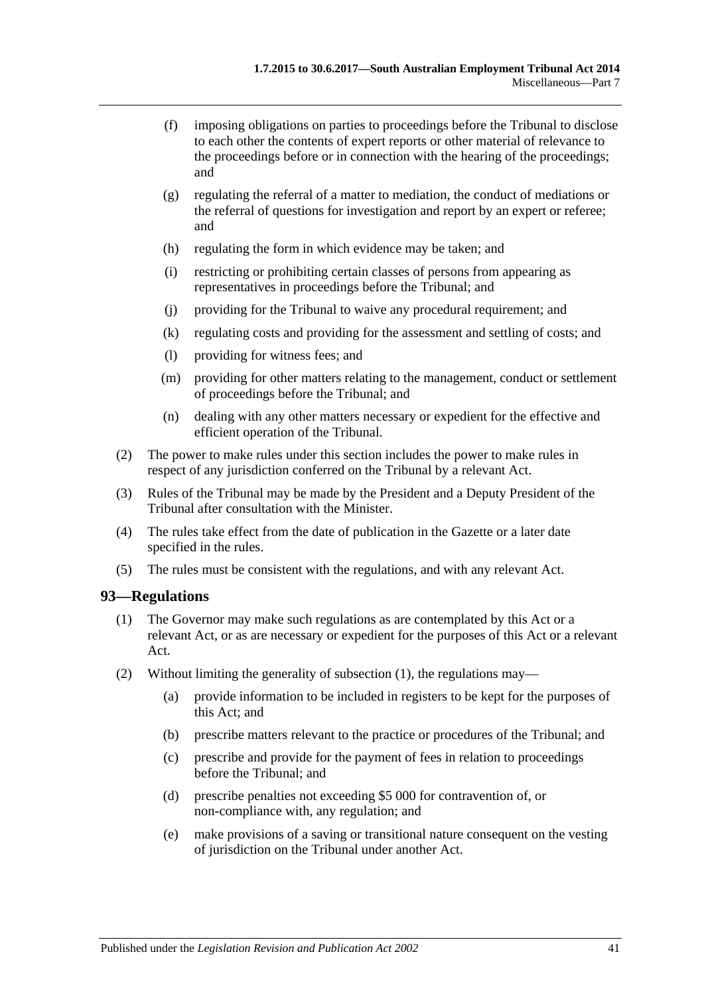- (f) imposing obligations on parties to proceedings before the Tribunal to disclose to each other the contents of expert reports or other material of relevance to the proceedings before or in connection with the hearing of the proceedings; and
- (g) regulating the referral of a matter to mediation, the conduct of mediations or the referral of questions for investigation and report by an expert or referee; and
- (h) regulating the form in which evidence may be taken; and
- (i) restricting or prohibiting certain classes of persons from appearing as representatives in proceedings before the Tribunal; and
- (j) providing for the Tribunal to waive any procedural requirement; and
- (k) regulating costs and providing for the assessment and settling of costs; and
- (l) providing for witness fees; and
- (m) providing for other matters relating to the management, conduct or settlement of proceedings before the Tribunal; and
- (n) dealing with any other matters necessary or expedient for the effective and efficient operation of the Tribunal.
- (2) The power to make rules under this section includes the power to make rules in respect of any jurisdiction conferred on the Tribunal by a relevant Act.
- (3) Rules of the Tribunal may be made by the President and a Deputy President of the Tribunal after consultation with the Minister.
- (4) The rules take effect from the date of publication in the Gazette or a later date specified in the rules.
- (5) The rules must be consistent with the regulations, and with any relevant Act.

#### <span id="page-40-1"></span><span id="page-40-0"></span>**93—Regulations**

- (1) The Governor may make such regulations as are contemplated by this Act or a relevant Act, or as are necessary or expedient for the purposes of this Act or a relevant Act.
- <span id="page-40-2"></span>(2) Without limiting the generality of [subsection](#page-40-1) (1), the regulations may—
	- (a) provide information to be included in registers to be kept for the purposes of this Act; and
	- (b) prescribe matters relevant to the practice or procedures of the Tribunal; and
	- (c) prescribe and provide for the payment of fees in relation to proceedings before the Tribunal; and
	- (d) prescribe penalties not exceeding \$5 000 for contravention of, or non-compliance with, any regulation; and
	- (e) make provisions of a saving or transitional nature consequent on the vesting of jurisdiction on the Tribunal under another Act.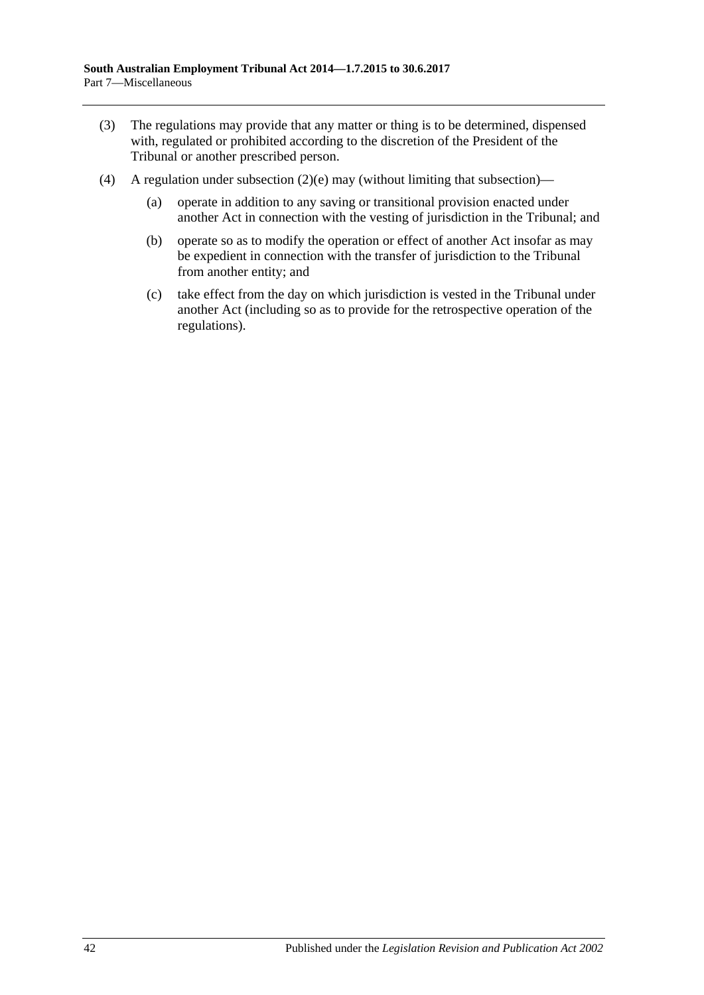- (3) The regulations may provide that any matter or thing is to be determined, dispensed with, regulated or prohibited according to the discretion of the President of the Tribunal or another prescribed person.
- (4) A regulation under [subsection](#page-40-2)  $(2)(e)$  may (without limiting that subsection)—
	- (a) operate in addition to any saving or transitional provision enacted under another Act in connection with the vesting of jurisdiction in the Tribunal; and
	- (b) operate so as to modify the operation or effect of another Act insofar as may be expedient in connection with the transfer of jurisdiction to the Tribunal from another entity; and
	- (c) take effect from the day on which jurisdiction is vested in the Tribunal under another Act (including so as to provide for the retrospective operation of the regulations).